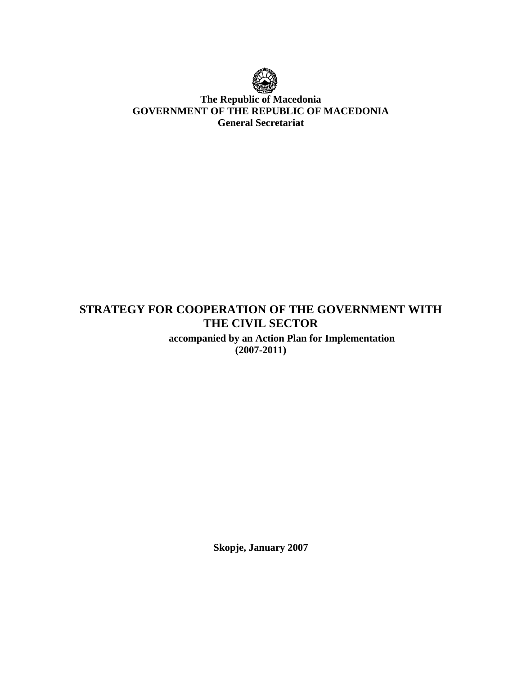

## **The Republic of Macedonia GOVERNMENT OF THE REPUBLIC OF MACEDONIA General Secretariat**

# **STRATEGY FOR COOPERATION OF THE GOVERNMENT WITH THE CIVIL SECTOR**

 **accompanied by an Action Plan for Implementation (2007-2011)** 

**Skopje, January 2007**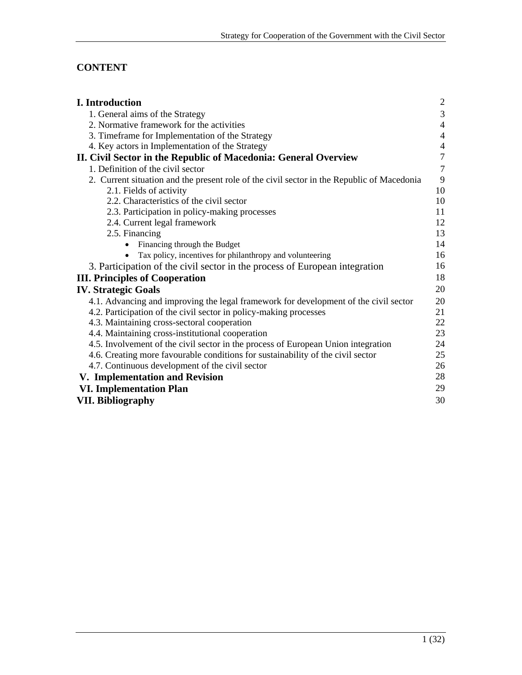# **CONTENT**

| I. Introduction                                                                            | $\overline{2}$ |
|--------------------------------------------------------------------------------------------|----------------|
| 1. General aims of the Strategy                                                            | $\mathfrak{Z}$ |
| 2. Normative framework for the activities                                                  | $\overline{4}$ |
| 3. Timeframe for Implementation of the Strategy                                            | $\overline{4}$ |
| 4. Key actors in Implementation of the Strategy                                            | $\overline{4}$ |
| II. Civil Sector in the Republic of Macedonia: General Overview                            | $\overline{7}$ |
| 1. Definition of the civil sector                                                          | $\overline{7}$ |
| 2. Current situation and the present role of the civil sector in the Republic of Macedonia | 9              |
| 2.1. Fields of activity                                                                    | 10             |
| 2.2. Characteristics of the civil sector                                                   | 10             |
| 2.3. Participation in policy-making processes                                              | 11             |
| 2.4. Current legal framework                                                               | 12             |
| 2.5. Financing                                                                             | 13             |
| Financing through the Budget<br>$\bullet$                                                  | 14             |
| Tax policy, incentives for philanthropy and volunteering                                   | 16             |
| 3. Participation of the civil sector in the process of European integration                | 16             |
| <b>III. Principles of Cooperation</b>                                                      | 18             |
| <b>IV. Strategic Goals</b>                                                                 | 20             |
| 4.1. Advancing and improving the legal framework for development of the civil sector       | 20             |
| 4.2. Participation of the civil sector in policy-making processes                          | 21             |
| 4.3. Maintaining cross-sectoral cooperation                                                | 22             |
| 4.4. Maintaining cross-institutional cooperation                                           | 23             |
| 4.5. Involvement of the civil sector in the process of European Union integration          | 24             |
| 4.6. Creating more favourable conditions for sustainability of the civil sector            | 25             |
| 4.7. Continuous development of the civil sector                                            | 26             |
| V. Implementation and Revision                                                             | 28             |
| <b>VI. Implementation Plan</b>                                                             | 29             |
| <b>VII. Bibliography</b>                                                                   | 30             |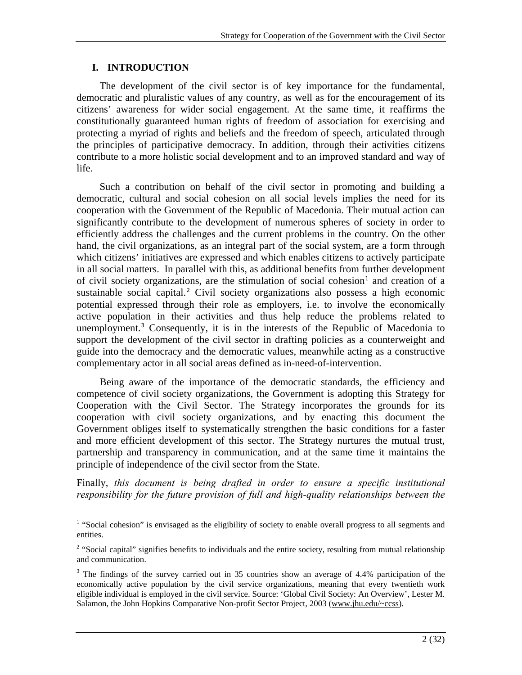## **I. INTRODUCTION**

 $\overline{a}$ 

The development of the civil sector is of key importance for the fundamental, democratic and pluralistic values of any country, as well as for the encouragement of its citizens' awareness for wider social engagement. At the same time, it reaffirms the constitutionally guaranteed human rights of freedom of association for exercising and protecting a myriad of rights and beliefs and the freedom of speech, articulated through the principles of participative democracy. In addition, through their activities citizens contribute to a more holistic social development and to an improved standard and way of life.

Such a contribution on behalf of the civil sector in promoting and building a democratic, cultural and social cohesion on all social levels implies the need for its cooperation with the Government of the Republic of Macedonia. Their mutual action can significantly contribute to the development of numerous spheres of society in order to efficiently address the challenges and the current problems in the country. On the other hand, the civil organizations, as an integral part of the social system, are a form through which citizens' initiatives are expressed and which enables citizens to actively participate in all social matters. In parallel with this, as additional benefits from further development of civil society organizations, are the stimulation of social cohesion<sup>[1](#page-2-0)</sup> and creation of a sustainable social capital.<sup>[2](#page-2-1)</sup> Civil society organizations also possess a high economic potential expressed through their role as employers, i.e. to involve the economically active population in their activities and thus help reduce the problems related to unemployment.[3](#page-2-2) Consequently, it is in the interests of the Republic of Macedonia to support the development of the civil sector in drafting policies as a counterweight and guide into the democracy and the democratic values, meanwhile acting as a constructive complementary actor in all social areas defined as in-need-of-intervention.

Being aware of the importance of the democratic standards, the efficiency and competence of civil society organizations, the Government is adopting this Strategy for Cooperation with the Civil Sector. The Strategy incorporates the grounds for its cooperation with civil society organizations, and by enacting this document the Government obliges itself to systematically strengthen the basic conditions for a faster and more efficient development of this sector. The Strategy nurtures the mutual trust, partnership and transparency in communication, and at the same time it maintains the principle of independence of the civil sector from the State.

Finally, *this document is being drafted in order to ensure a specific institutional responsibility for the future provision of full and high-quality relationships between the* 

<span id="page-2-0"></span><sup>&</sup>lt;sup>1</sup> "Social cohesion" is envisaged as the eligibility of society to enable overall progress to all segments and entities.

<span id="page-2-1"></span> $2$  "Social capital" signifies benefits to individuals and the entire society, resulting from mutual relationship and communication.

<span id="page-2-2"></span><sup>&</sup>lt;sup>3</sup> The findings of the survey carried out in 35 countries show an average of 4.4% participation of the economically active population by the civil service organizations, meaning that every twentieth work eligible individual is employed in the civil service. Source: 'Global Civil Society: An Overview', Lester M. Salamon, the John Hopkins Comparative Non-profit Sector Project, 2003 [\(www.jhu.edu/~ccss\)](http://www.jhu.edu/%7Eccss).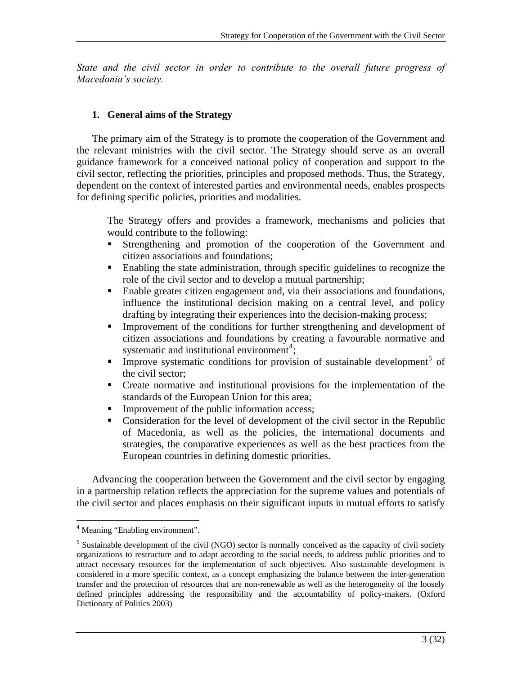*State and the civil sector in order to contribute to the overall future progress of Macedonia's society.* 

## **1. General aims of the Strategy**

The primary aim of the Strategy is to promote the cooperation of the Government and the relevant ministries with the civil sector. The Strategy should serve as an overall guidance framework for a conceived national policy of cooperation and support to the civil sector, reflecting the priorities, principles and proposed methods. Thus, the Strategy, dependent on the context of interested parties and environmental needs, enables prospects for defining specific policies, priorities and modalities.

The Strategy offers and provides a framework, mechanisms and policies that would contribute to the following:

- Strengthening and promotion of the cooperation of the Government and citizen associations and foundations;
- Enabling the state administration, through specific guidelines to recognize the role of the civil sector and to develop a mutual partnership;
- Enable greater citizen engagement and, via their associations and foundations, influence the institutional decision making on a central level, and policy drafting by integrating their experiences into the decision-making process;
- Improvement of the conditions for further strengthening and development of citizen associations and foundations by creating a favourable normative and systematic and institutional environment<sup>[4](#page-3-0)</sup>;
- **Improve systematic conditions for provision of sustainable development**<sup>[5](#page-3-1)</sup> of the civil sector;
- Create normative and institutional provisions for the implementation of the standards of the European Union for this area;
- **Improvement of the public information access;**
- Consideration for the level of development of the civil sector in the Republic of Macedonia, as well as the policies, the international documents and strategies, the comparative experiences as well as the best practices from the European countries in defining domestic priorities.

Advancing the cooperation between the Government and the civil sector by engaging in a partnership relation reflects the appreciation for the supreme values and potentials of the civil sector and places emphasis on their significant inputs in mutual efforts to satisfy

<span id="page-3-0"></span> 4 Meaning "Enabling environment".

<span id="page-3-1"></span><sup>&</sup>lt;sup>5</sup> Sustainable development of the civil (NGO) sector is normally conceived as the capacity of civil society organizations to restructure and to adapt according to the social needs, to address public priorities and to attract necessary resources for the implementation of such objectives. Also sustainable development is considered in a more specific context, as a concept emphasizing the balance between the inter-generation transfer and the protection of resources that are non-renewable as well as the heterogeneity of the loosely defined principles addressing the responsibility and the accountability of policy-makers. (Oxford Dictionary of Politics 2003)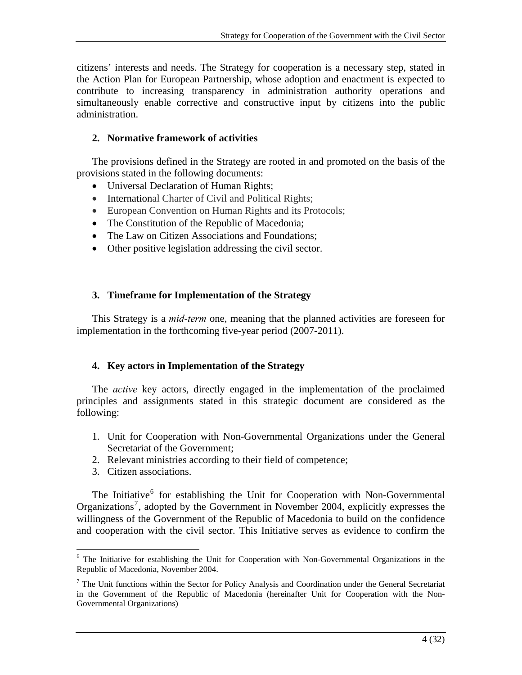citizens' interests and needs. The Strategy for cooperation is a necessary step, stated in the Action Plan for European Partnership, whose adoption and enactment is expected to contribute to increasing transparency in administration authority operations and simultaneously enable corrective and constructive input by citizens into the public administration.

## **2. Normative framework of activities**

The provisions defined in the Strategy are rooted in and promoted on the basis of the provisions stated in the following documents:

- Universal Declaration of Human Rights;
- International Charter of Civil and Political Rights;
- European Convention on Human Rights and its Protocols;
- The Constitution of the Republic of Macedonia;
- The Law on Citizen Associations and Foundations:
- Other positive legislation addressing the civil sector.

## **3. Timeframe for Implementation of the Strategy**

This Strategy is a *mid-term* one, meaning that the planned activities are foreseen for implementation in the forthcoming five-year period (2007-2011).

## **4. Key actors in Implementation of the Strategy**

The *active* key actors, directly engaged in the implementation of the proclaimed principles and assignments stated in this strategic document are considered as the following:

- 1. Unit for Cooperation with Non-Governmental Organizations under the General Secretariat of the Government;
- 2. Relevant ministries according to their field of competence;
- 3. Citizen associations.

The Initiative<sup>[6](#page-4-0)</sup> for establishing the Unit for Cooperation with Non-Governmental Organizations<sup>[7](#page-4-1)</sup>, adopted by the Government in November 2004, explicitly expresses the willingness of the Government of the Republic of Macedonia to build on the confidence and cooperation with the civil sector. This Initiative serves as evidence to confirm the

<span id="page-4-0"></span><sup>1</sup> <sup>6</sup> The Initiative for establishing the Unit for Cooperation with Non-Governmental Organizations in the Republic of Macedonia, November 2004.

<span id="page-4-1"></span> $<sup>7</sup>$  The Unit functions within the Sector for Policy Analysis and Coordination under the General Secretariat</sup> in the Government of the Republic of Macedonia (hereinafter Unit for Cooperation with the Non-Governmental Organizations)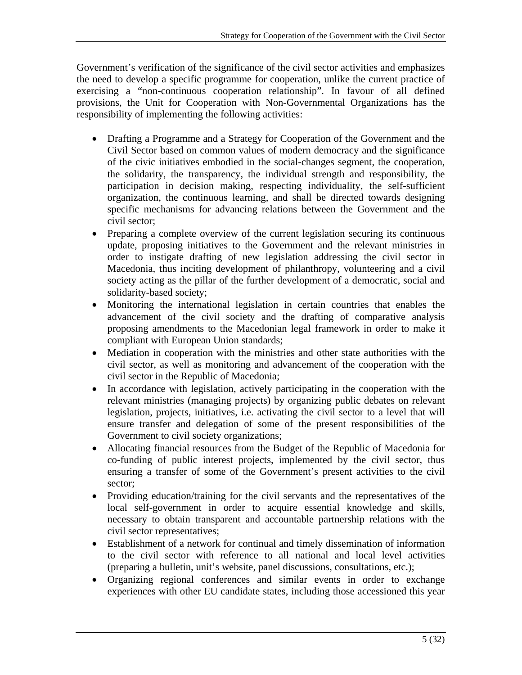Government's verification of the significance of the civil sector activities and emphasizes the need to develop a specific programme for cooperation, unlike the current practice of exercising a "non-continuous cooperation relationship". In favour of all defined provisions, the Unit for Cooperation with Non-Governmental Organizations has the responsibility of implementing the following activities:

- Drafting a Programme and a Strategy for Cooperation of the Government and the Civil Sector based on common values of modern democracy and the significance of the civic initiatives embodied in the social-changes segment, the cooperation, the solidarity, the transparency, the individual strength and responsibility, the participation in decision making, respecting individuality, the self-sufficient organization, the continuous learning, and shall be directed towards designing specific mechanisms for advancing relations between the Government and the civil sector;
- Preparing a complete overview of the current legislation securing its continuous update, proposing initiatives to the Government and the relevant ministries in order to instigate drafting of new legislation addressing the civil sector in Macedonia, thus inciting development of philanthropy, volunteering and a civil society acting as the pillar of the further development of a democratic, social and solidarity-based society;
- Monitoring the international legislation in certain countries that enables the advancement of the civil society and the drafting of comparative analysis proposing amendments to the Macedonian legal framework in order to make it compliant with European Union standards;
- Mediation in cooperation with the ministries and other state authorities with the civil sector, as well as monitoring and advancement of the cooperation with the civil sector in the Republic of Macedonia;
- In accordance with legislation, actively participating in the cooperation with the relevant ministries (managing projects) by organizing public debates on relevant legislation, projects, initiatives, i.e. activating the civil sector to a level that will ensure transfer and delegation of some of the present responsibilities of the Government to civil society organizations;
- Allocating financial resources from the Budget of the Republic of Macedonia for co-funding of public interest projects, implemented by the civil sector, thus ensuring a transfer of some of the Government's present activities to the civil sector;
- Providing education/training for the civil servants and the representatives of the local self-government in order to acquire essential knowledge and skills, necessary to obtain transparent and accountable partnership relations with the civil sector representatives;
- Establishment of a network for continual and timely dissemination of information to the civil sector with reference to all national and local level activities (preparing a bulletin, unit's website, panel discussions, consultations, etc.);
- Organizing regional conferences and similar events in order to exchange experiences with other EU candidate states, including those accessioned this year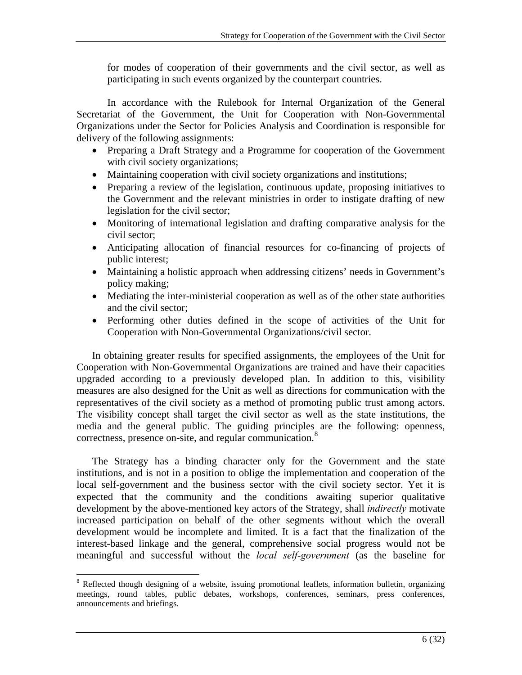for modes of cooperation of their governments and the civil sector, as well as participating in such events organized by the counterpart countries.

In accordance with the Rulebook for Internal Organization of the General Secretariat of the Government, the Unit for Cooperation with Non-Governmental Organizations under the Sector for Policies Analysis and Coordination is responsible for delivery of the following assignments:

- Preparing a Draft Strategy and a Programme for cooperation of the Government with civil society organizations;
- Maintaining cooperation with civil society organizations and institutions;
- Preparing a review of the legislation, continuous update, proposing initiatives to the Government and the relevant ministries in order to instigate drafting of new legislation for the civil sector;
- Monitoring of international legislation and drafting comparative analysis for the civil sector;
- Anticipating allocation of financial resources for co-financing of projects of public interest;
- Maintaining a holistic approach when addressing citizens' needs in Government's policy making;
- Mediating the inter-ministerial cooperation as well as of the other state authorities and the civil sector;
- Performing other duties defined in the scope of activities of the Unit for Cooperation with Non-Governmental Organizations/civil sector.

In obtaining greater results for specified assignments, the employees of the Unit for Cooperation with Non-Governmental Organizations are trained and have their capacities upgraded according to a previously developed plan. In addition to this, visibility measures are also designed for the Unit as well as directions for communication with the representatives of the civil society as a method of promoting public trust among actors. The visibility concept shall target the civil sector as well as the state institutions, the media and the general public. The guiding principles are the following: openness, correctness, presence on-site, and regular communication.<sup>[8](#page-6-0)</sup>

The Strategy has a binding character only for the Government and the state institutions, and is not in a position to oblige the implementation and cooperation of the local self-government and the business sector with the civil society sector. Yet it is expected that the community and the conditions awaiting superior qualitative development by the above-mentioned key actors of the Strategy, shall *indirectly* motivate increased participation on behalf of the other segments without which the overall development would be incomplete and limited. It is a fact that the finalization of the interest-based linkage and the general, comprehensive social progress would not be meaningful and successful without the *local self-government* (as the baseline for

<span id="page-6-0"></span><sup>1</sup> <sup>8</sup> Reflected though designing of a website, issuing promotional leaflets, information bulletin, organizing meetings, round tables, public debates, workshops, conferences, seminars, press conferences, announcements and briefings.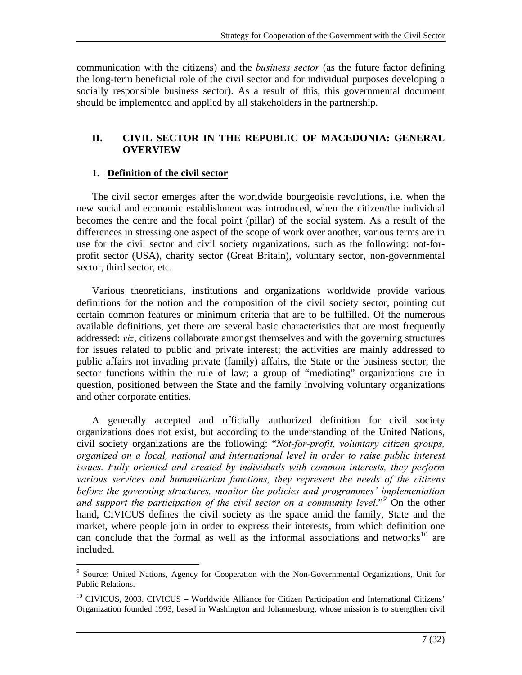communication with the citizens) and the *business sector* (as the future factor defining the long-term beneficial role of the civil sector and for individual purposes developing a socially responsible business sector). As a result of this, this governmental document should be implemented and applied by all stakeholders in the partnership.

## **II. CIVIL SECTOR IN THE REPUBLIC OF MACEDONIA: GENERAL OVERVIEW**

## **1. Definition of the civil sector**

 $\overline{a}$ 

The civil sector emerges after the worldwide bourgeoisie revolutions, i.e. when the new social and economic establishment was introduced, when the citizen/the individual becomes the centre and the focal point (pillar) of the social system. As a result of the differences in stressing one aspect of the scope of work over another, various terms are in use for the civil sector and civil society organizations, such as the following: not-forprofit sector (USA), charity sector (Great Britain), voluntary sector, non-governmental sector, third sector, etc.

Various theoreticians, institutions and organizations worldwide provide various definitions for the notion and the composition of the civil society sector, pointing out certain common features or minimum criteria that are to be fulfilled. Of the numerous available definitions, yet there are several basic characteristics that are most frequently addressed: *viz*, citizens collaborate amongst themselves and with the governing structures for issues related to public and private interest; the activities are mainly addressed to public affairs not invading private (family) affairs, the State or the business sector; the sector functions within the rule of law; a group of "mediating" organizations are in question, positioned between the State and the family involving voluntary organizations and other corporate entities.

A generally accepted and officially authorized definition for civil society organizations does not exist, but according to the understanding of the United Nations, civil society organizations are the following: "*Not-for-profit, voluntary citizen groups, organized on a local, national and international level in order to raise public interest issues. Fully oriented and created by individuals with common interests, they perform various services and humanitarian functions, they represent the needs of the citizens before the governing structures, monitor the policies and programmes' implementation*  and support the participation of the civil sector on a community level."<sup>[9](#page-7-0)</sup> On the other hand, CIVICUS defines the civil society as the space amid the family, State and the market, where people join in order to express their interests, from which definition one can conclude that the formal as well as the informal associations and networks<sup>[10](#page-7-1)</sup> are included.

<span id="page-7-0"></span><sup>&</sup>lt;sup>9</sup> Source: United Nations, Agency for Cooperation with the Non-Governmental Organizations, Unit for Public Relations.

<span id="page-7-1"></span><sup>&</sup>lt;sup>10</sup> CIVICUS, 2003. CIVICUS – Worldwide Alliance for Citizen Participation and International Citizens' Organization founded 1993, based in Washington and Johannesburg, whose mission is to strengthen civil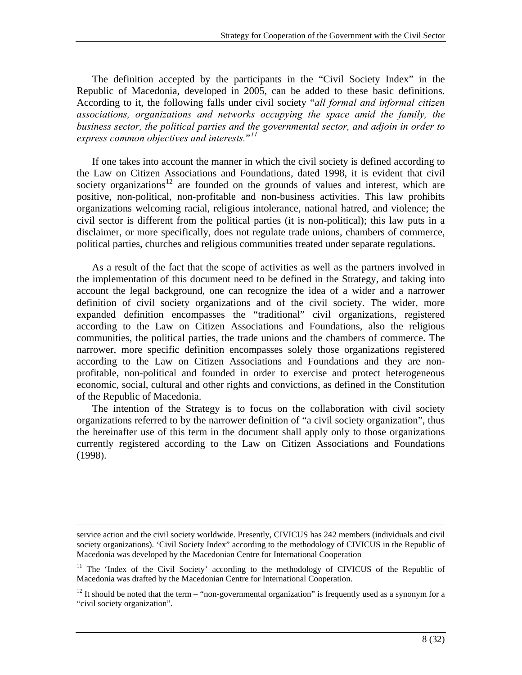The definition accepted by the participants in the "Civil Society Index" in the Republic of Macedonia, developed in 2005, can be added to these basic definitions. According to it, the following falls under civil society "*all formal and informal citizen associations, organizations and networks occupying the space amid the family, the business sector, the political parties and the governmental sector, and adjoin in order to express common objectives and interests.*"*[11](#page-8-0)*

If one takes into account the manner in which the civil society is defined according to the Law on Citizen Associations and Foundations, dated 1998, it is evident that civil society organizations<sup>[12](#page-8-1)</sup> are founded on the grounds of values and interest, which are positive, non-political, non-profitable and non-business activities. This law prohibits organizations welcoming racial, religious intolerance, national hatred, and violence; the civil sector is different from the political parties (it is non-political); this law puts in a disclaimer, or more specifically, does not regulate trade unions, chambers of commerce, political parties, churches and religious communities treated under separate regulations.

As a result of the fact that the scope of activities as well as the partners involved in the implementation of this document need to be defined in the Strategy, and taking into account the legal background, one can recognize the idea of a wider and a narrower definition of civil society organizations and of the civil society. The wider, more expanded definition encompasses the "traditional" civil organizations, registered according to the Law on Citizen Associations and Foundations, also the religious communities, the political parties, the trade unions and the chambers of commerce. The narrower, more specific definition encompasses solely those organizations registered according to the Law on Citizen Associations and Foundations and they are nonprofitable, non-political and founded in order to exercise and protect heterogeneous economic, social, cultural and other rights and convictions, as defined in the Constitution of the Republic of Macedonia.

The intention of the Strategy is to focus on the collaboration with civil society organizations referred to by the narrower definition of "a civil society organization", thus the hereinafter use of this term in the document shall apply only to those organizations currently registered according to the Law on Citizen Associations and Foundations (1998).

service action and the civil society worldwide. Presently, CIVICUS has 242 members (individuals and civil society organizations). 'Civil Society Index" according to the methodology of CIVICUS in the Republic of Macedonia was developed by the Macedonian Centre for International Cooperation

<span id="page-8-0"></span><sup>&</sup>lt;sup>11</sup> The 'Index of the Civil Society' according to the methodology of CIVICUS of the Republic of Macedonia was drafted by the Macedonian Centre for International Cooperation.

<span id="page-8-1"></span> $12$  It should be noted that the term – "non-governmental organization" is frequently used as a synonym for a "civil society organization".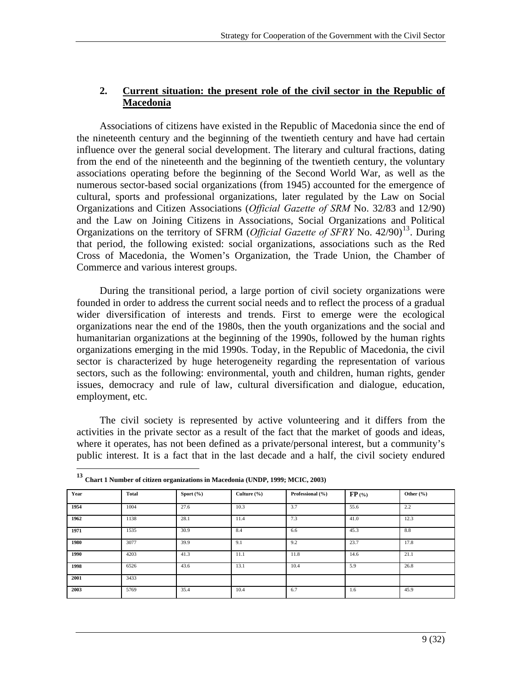## **2. Current situation: the present role of the civil sector in the Republic of Macedonia**

Associations of citizens have existed in the Republic of Macedonia since the end of the nineteenth century and the beginning of the twentieth century and have had certain influence over the general social development. The literary and cultural fractions, dating from the end of the nineteenth and the beginning of the twentieth century, the voluntary associations operating before the beginning of the Second World War, as well as the numerous sector-based social organizations (from 1945) accounted for the emergence of cultural, sports and professional organizations, later regulated by the Law on Social Organizations and Citizen Associations (*Official Gazette of SRM* No. 32/83 and 12/90) and the Law on Joining Citizens in Associations, Social Organizations and Political Organizations on the territory of SFRM (*Official Gazette of SFRY* No. 42/90)<sup>[13](#page-9-0)</sup>. During that period, the following existed: social organizations, associations such as the Red Cross of Macedonia, the Women's Organization, the Trade Union, the Chamber of Commerce and various interest groups.

During the transitional period, a large portion of civil society organizations were founded in order to address the current social needs and to reflect the process of a gradual wider diversification of interests and trends. First to emerge were the ecological organizations near the end of the 1980s, then the youth organizations and the social and humanitarian organizations at the beginning of the 1990s, followed by the human rights organizations emerging in the mid 1990s. Today, in the Republic of Macedonia, the civil sector is characterized by huge heterogeneity regarding the representation of various sectors, such as the following: environmental, youth and children, human rights, gender issues, democracy and rule of law, cultural diversification and dialogue, education, employment, etc.

The civil society is represented by active volunteering and it differs from the activities in the private sector as a result of the fact that the market of goods and ideas, where it operates, has not been defined as a private/personal interest, but a community's public interest. It is a fact that in the last decade and a half, the civil society endured

<span id="page-9-0"></span>

| Year | Total | Sport $(\% )$ | Culture $(\% )$ | Professional (%) | $FP$ (%) | Other $(\% )$ |
|------|-------|---------------|-----------------|------------------|----------|---------------|
| 1954 | 1004  | 27.6          | 10.3            | 3.7              | 55.6     | 2.2           |
| 1962 | 1138  | 28.1          | 11.4            | 7.3              | 41.0     | 12.3          |
| 1971 | 1535  | 30.9          | 8.4             | 6.6              | 45.3     | 8.8           |
| 1980 | 3077  | 39.9          | 9.1             | 9.2              | 23.7     | 17.8          |
| 1990 | 4203  | 41.3          | 11.1            | 11.8             | 14.6     | 21.1          |
| 1998 | 6526  | 43.6          | 13.1            | 10.4             | 5.9      | 26.8          |
| 2001 | 3433  |               |                 |                  |          |               |
| 2003 | 5769  | 35.4          | 10.4            | 6.7              | 1.6      | 45.9          |

**<sup>13</sup> Chart 1 Number of citizen organizations in Macedonia (UNDP, 1999; MCIC, 2003)** 

 $\overline{a}$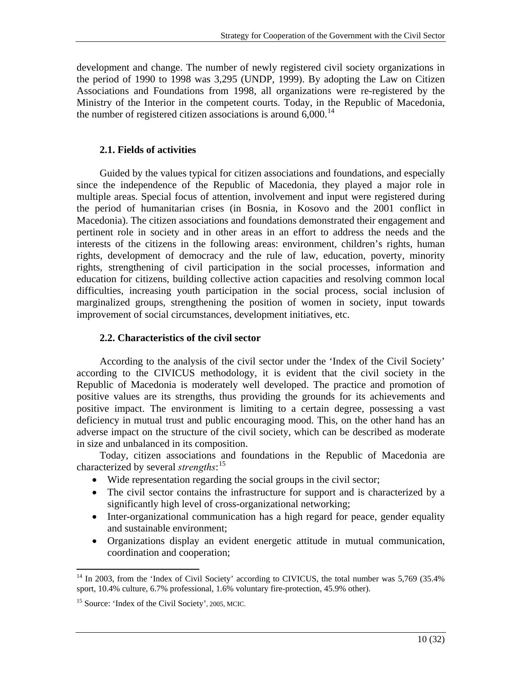development and change. The number of newly registered civil society organizations in the period of 1990 to 1998 was 3,295 (UNDP, 1999). By adopting the Law on Citizen Associations and Foundations from 1998, all organizations were re-registered by the Ministry of the Interior in the competent courts. Today, in the Republic of Macedonia, the number of registered citizen associations is around  $6,000$ .<sup>[14](#page-10-0)</sup>

## **2.1. Fields of activities**

Guided by the values typical for citizen associations and foundations, and especially since the independence of the Republic of Macedonia, they played a major role in multiple areas. Special focus of attention, involvement and input were registered during the period of humanitarian crises (in Bosnia, in Kosovo and the 2001 conflict in Macedonia). The citizen associations and foundations demonstrated their engagement and pertinent role in society and in other areas in an effort to address the needs and the interests of the citizens in the following areas: environment, children's rights, human rights, development of democracy and the rule of law, education, poverty, minority rights, strengthening of civil participation in the social processes, information and education for citizens, building collective action capacities and resolving common local difficulties, increasing youth participation in the social process, social inclusion of marginalized groups, strengthening the position of women in society, input towards improvement of social circumstances, development initiatives, etc.

## **2.2. Characteristics of the civil sector**

According to the analysis of the civil sector under the 'Index of the Civil Society' according to the CIVICUS methodology, it is evident that the civil society in the Republic of Macedonia is moderately well developed. The practice and promotion of positive values are its strengths, thus providing the grounds for its achievements and positive impact. The environment is limiting to a certain degree, possessing a vast deficiency in mutual trust and public encouraging mood. This, on the other hand has an adverse impact on the structure of the civil society, which can be described as moderate in size and unbalanced in its composition.

Today, citizen associations and foundations in the Republic of Macedonia are characterized by several *strengths*: [15](#page-10-1)

- Wide representation regarding the social groups in the civil sector;
- The civil sector contains the infrastructure for support and is characterized by a significantly high level of cross-organizational networking;
- Inter-organizational communication has a high regard for peace, gender equality and sustainable environment;
- Organizations display an evident energetic attitude in mutual communication, coordination and cooperation;

<span id="page-10-0"></span><sup>1</sup> <sup>14</sup> In 2003, from the 'Index of Civil Society' according to CIVICUS, the total number was 5,769 (35.4%) sport, 10.4% culture, 6.7% professional, 1.6% voluntary fire-protection, 45.9% other).

<span id="page-10-1"></span><sup>15</sup> Source: 'Index of the Civil Society', 2005, MCIC.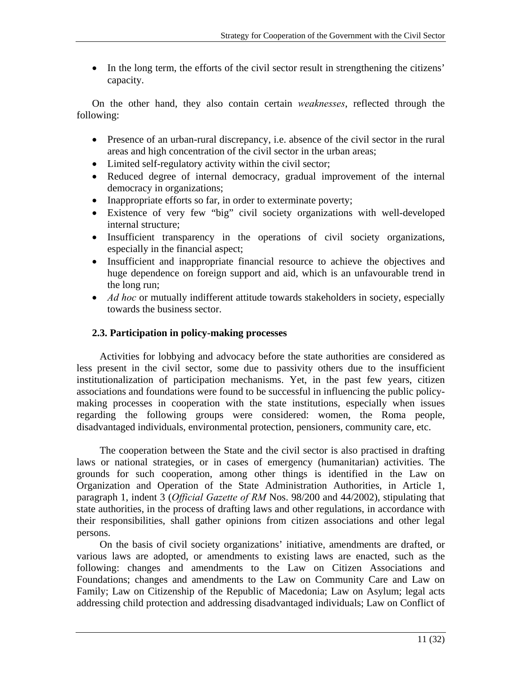• In the long term, the efforts of the civil sector result in strengthening the citizens' capacity.

On the other hand, they also contain certain *weaknesses*, reflected through the following:

- Presence of an urban-rural discrepancy, i.e. absence of the civil sector in the rural areas and high concentration of the civil sector in the urban areas;
- Limited self-regulatory activity within the civil sector;
- Reduced degree of internal democracy, gradual improvement of the internal democracy in organizations;
- Inappropriate efforts so far, in order to exterminate poverty;
- Existence of very few "big" civil society organizations with well-developed internal structure;
- Insufficient transparency in the operations of civil society organizations, especially in the financial aspect;
- Insufficient and inappropriate financial resource to achieve the objectives and huge dependence on foreign support and aid, which is an unfavourable trend in the long run;
- *Ad hoc* or mutually indifferent attitude towards stakeholders in society, especially towards the business sector.

## **2.3. Participation in policy-making processes**

Activities for lobbying and advocacy before the state authorities are considered as less present in the civil sector, some due to passivity others due to the insufficient institutionalization of participation mechanisms. Yet, in the past few years, citizen associations and foundations were found to be successful in influencing the public policymaking processes in cooperation with the state institutions, especially when issues regarding the following groups were considered: women, the Roma people, disadvantaged individuals, environmental protection, pensioners, community care, etc.

The cooperation between the State and the civil sector is also practised in drafting laws or national strategies, or in cases of emergency (humanitarian) activities. The grounds for such cooperation, among other things is identified in the Law on Organization and Operation of the State Administration Authorities, in Article 1, paragraph 1, indent 3 (*Official Gazette of RM* Nos. 98/200 and 44/2002), stipulating that state authorities, in the process of drafting laws and other regulations, in accordance with their responsibilities, shall gather opinions from citizen associations and other legal persons.

On the basis of civil society organizations' initiative, amendments are drafted, or various laws are adopted, or amendments to existing laws are enacted, such as the following: changes and amendments to the Law on Citizen Associations and Foundations; changes and amendments to the Law on Community Care and Law on Family; Law on Citizenship of the Republic of Macedonia; Law on Asylum; legal acts addressing child protection and addressing disadvantaged individuals; Law on Conflict of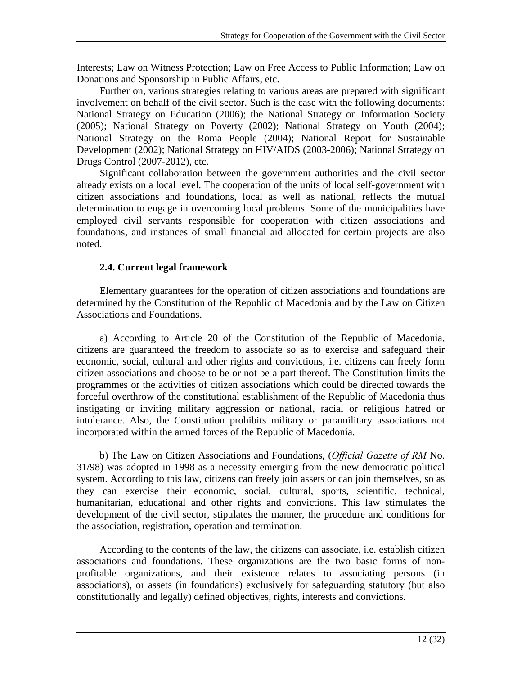Interests; Law on Witness Protection; Law on Free Access to Public Information; Law on Donations and Sponsorship in Public Affairs, etc.

Further on, various strategies relating to various areas are prepared with significant involvement on behalf of the civil sector. Such is the case with the following documents: National Strategy on Education (2006); the National Strategy on Information Society (2005); National Strategy on Poverty (2002); National Strategy on Youth (2004); National Strategy on the Roma People (2004); National Report for Sustainable Development (2002); National Strategy on HIV/AIDS (2003-2006); National Strategy on Drugs Control (2007-2012), etc.

Significant collaboration between the government authorities and the civil sector already exists on a local level. The cooperation of the units of local self-government with citizen associations and foundations, local as well as national, reflects the mutual determination to engage in overcoming local problems. Some of the municipalities have employed civil servants responsible for cooperation with citizen associations and foundations, and instances of small financial aid allocated for certain projects are also noted.

## **2.4. Current legal framework**

Elementary guarantees for the operation of citizen associations and foundations are determined by the Constitution of the Republic of Macedonia and by the Law on Citizen Associations and Foundations.

a) According to Article 20 of the Constitution of the Republic of Macedonia, citizens are guaranteed the freedom to associate so as to exercise and safeguard their economic, social, cultural and other rights and convictions, i.e. citizens can freely form citizen associations and choose to be or not be a part thereof. The Constitution limits the programmes or the activities of citizen associations which could be directed towards the forceful overthrow of the constitutional establishment of the Republic of Macedonia thus instigating or inviting military aggression or national, racial or religious hatred or intolerance. Also, the Constitution prohibits military or paramilitary associations not incorporated within the armed forces of the Republic of Macedonia.

b) The Law on Citizen Associations and Foundations, (*Official Gazette of RM* No. 31/98) was adopted in 1998 as a necessity emerging from the new democratic political system. According to this law, citizens can freely join assets or can join themselves, so as they can exercise their economic, social, cultural, sports, scientific, technical, humanitarian, educational and other rights and convictions. This law stimulates the development of the civil sector, stipulates the manner, the procedure and conditions for the association, registration, operation and termination.

According to the contents of the law, the citizens can associate, i.e. establish citizen associations and foundations. These organizations are the two basic forms of nonprofitable organizations, and their existence relates to associating persons (in associations), or assets (in foundations) exclusively for safeguarding statutory (but also constitutionally and legally) defined objectives, rights, interests and convictions.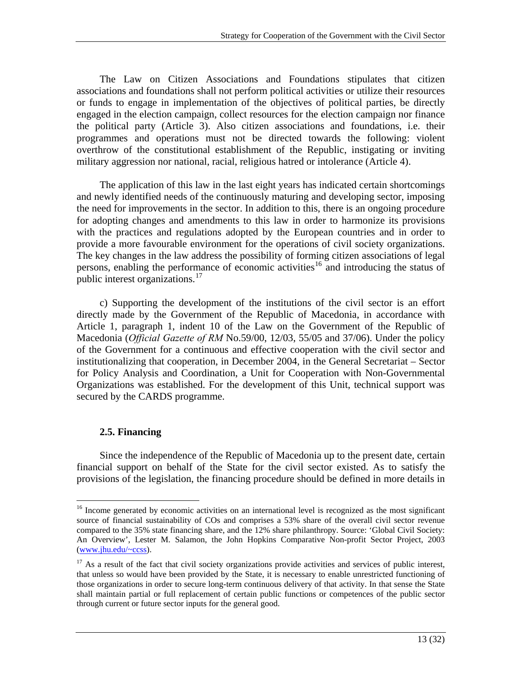The Law on Citizen Associations and Foundations stipulates that citizen associations and foundations shall not perform political activities or utilize their resources or funds to engage in implementation of the objectives of political parties, be directly engaged in the election campaign, collect resources for the election campaign nor finance the political party (Article 3). Also citizen associations and foundations, i.e. their programmes and operations must not be directed towards the following: violent overthrow of the constitutional establishment of the Republic, instigating or inviting military aggression nor national, racial, religious hatred or intolerance (Article 4).

The application of this law in the last eight years has indicated certain shortcomings and newly identified needs of the continuously maturing and developing sector, imposing the need for improvements in the sector. In addition to this, there is an ongoing procedure for adopting changes and amendments to this law in order to harmonize its provisions with the practices and regulations adopted by the European countries and in order to provide a more favourable environment for the operations of civil society organizations. The key changes in the law address the possibility of forming citizen associations of legal persons, enabling the performance of economic activities<sup>[16](#page-13-0)</sup> and introducing the status of public interest organizations.<sup>[17](#page-13-1)</sup>

c) Supporting the development of the institutions of the civil sector is an effort directly made by the Government of the Republic of Macedonia, in accordance with Article 1, paragraph 1, indent 10 of the Law on the Government of the Republic of Macedonia (*Official Gazette of RM* No.59/00, 12/03, 55/05 and 37/06). Under the policy of the Government for a continuous and effective cooperation with the civil sector and institutionalizing that cooperation, in December 2004, in the General Secretariat – Sector for Policy Analysis and Coordination, a Unit for Cooperation with Non-Governmental Organizations was established. For the development of this Unit, technical support was secured by the CARDS programme.

## **2.5. Financing**

 $\overline{a}$ 

Since the independence of the Republic of Macedonia up to the present date, certain financial support on behalf of the State for the civil sector existed. As to satisfy the provisions of the legislation, the financing procedure should be defined in more details in

<span id="page-13-0"></span><sup>&</sup>lt;sup>16</sup> Income generated by economic activities on an international level is recognized as the most significant source of financial sustainability of COs and comprises a 53% share of the overall civil sector revenue compared to the 35% state financing share, and the 12% share philanthropy. Source: 'Global Civil Society: An Overview', Lester M. Salamon, the John Hopkins Comparative Non-profit Sector Project, 2003 [\(www.jhu.edu/~ccss](http://www.jhu.edu/%7Eccss)).

<span id="page-13-1"></span><sup>&</sup>lt;sup>17</sup> As a result of the fact that civil society organizations provide activities and services of public interest, that unless so would have been provided by the State, it is necessary to enable unrestricted functioning of those organizations in order to secure long-term continuous delivery of that activity. In that sense the State shall maintain partial or full replacement of certain public functions or competences of the public sector through current or future sector inputs for the general good.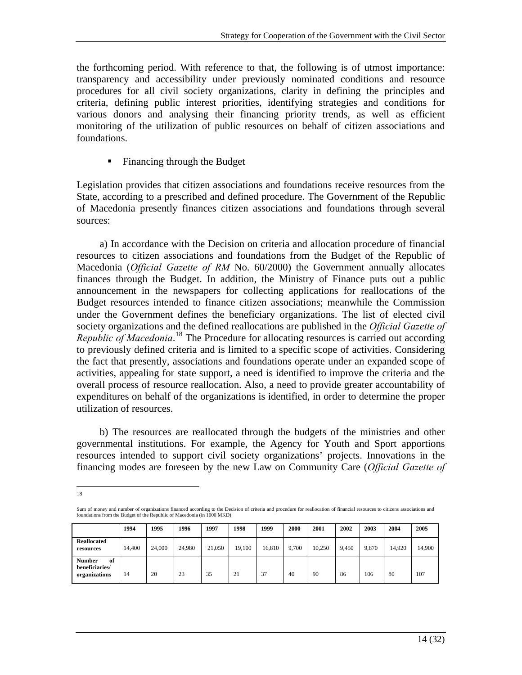the forthcoming period. With reference to that, the following is of utmost importance: transparency and accessibility under previously nominated conditions and resource procedures for all civil society organizations, clarity in defining the principles and criteria, defining public interest priorities, identifying strategies and conditions for various donors and analysing their financing priority trends, as well as efficient monitoring of the utilization of public resources on behalf of citizen associations and foundations.

• Financing through the Budget

Legislation provides that citizen associations and foundations receive resources from the State, according to a prescribed and defined procedure. The Government of the Republic of Macedonia presently finances citizen associations and foundations through several sources:

a) In accordance with the Decision on criteria and allocation procedure of financial resources to citizen associations and foundations from the Budget of the Republic of Macedonia (*Official Gazette of RM* No. 60/2000) the Government annually allocates finances through the Budget. In addition, the Ministry of Finance puts out a public announcement in the newspapers for collecting applications for reallocations of the Budget resources intended to finance citizen associations; meanwhile the Commission under the Government defines the beneficiary organizations. The list of elected civil society organizations and the defined reallocations are published in the *Official Gazette of Republic of Macedonia*. [18](#page-14-0) The Procedure for allocating resources is carried out according to previously defined criteria and is limited to a specific scope of activities. Considering the fact that presently, associations and foundations operate under an expanded scope of activities, appealing for state support, a need is identified to improve the criteria and the overall process of resource reallocation. Also, a need to provide greater accountability of expenditures on behalf of the organizations is identified, in order to determine the proper utilization of resources.

b) The resources are reallocated through the budgets of the ministries and other governmental institutions. For example, the Agency for Youth and Sport apportions resources intended to support civil society organizations' projects. Innovations in the financing modes are foreseen by the new Law on Community Care (*Official Gazette of* 

<span id="page-14-0"></span> $\overline{a}$ 18

Sum of money and number of organizations financed according to the Decision of criteria and procedure for reallocation of financial resources to citizens associations and<br>foundations from the Budget of the Republic of Mace

|                                                        | 1994   | 1995   | 1996   | 1997   | 1998   | 1999   | 2000  | 2001   | 2002  | 2003  | 2004   | 2005   |
|--------------------------------------------------------|--------|--------|--------|--------|--------|--------|-------|--------|-------|-------|--------|--------|
| <b>Reallocated</b><br>resources                        | 14,400 | 24,000 | 24,980 | 21.050 | 19,100 | 16,810 | 9.700 | 10.250 | 9.450 | 9,870 | 14.920 | 14,900 |
| <b>Number</b><br>of<br>beneficiaries/<br>organizations | 14     | 20     | 23     | 35     | 21     | 37     | 40    | 90     | 86    | 106   | 80     | 107    |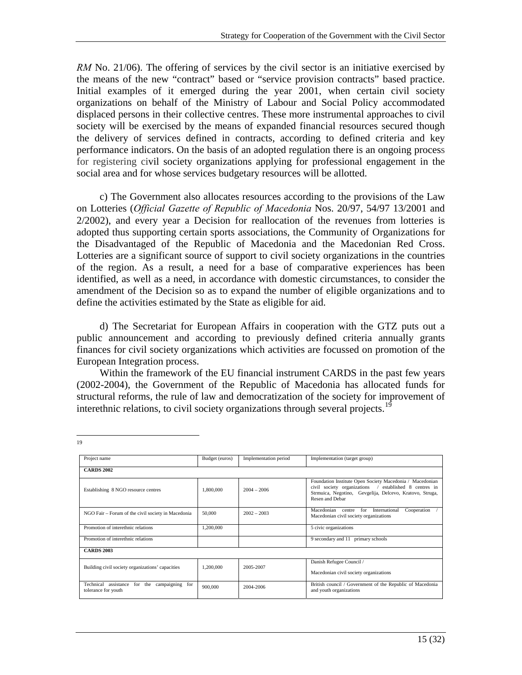*RM* No. 21/06). The offering of services by the civil sector is an initiative exercised by the means of the new "contract" based or "service provision contracts" based practice. Initial examples of it emerged during the year 2001, when certain civil society organizations on behalf of the Ministry of Labour and Social Policy accommodated displaced persons in their collective centres. These more instrumental approaches to civil society will be exercised by the means of expanded financial resources secured though the delivery of services defined in contracts, according to defined criteria and key performance indicators. On the basis of an adopted regulation there is an ongoing process for registering civil society organizations applying for professional engagement in the social area and for whose services budgetary resources will be allotted.

c) The Government also allocates resources according to the provisions of the Law on Lotteries (*Official Gazette of Republic of Macedonia* Nos. 20/97, 54/97 13/2001 and 2/2002), and every year a Decision for reallocation of the revenues from lotteries is adopted thus supporting certain sports associations, the Community of Organizations for the Disadvantaged of the Republic of Macedonia and the Macedonian Red Cross. Lotteries are a significant source of support to civil society organizations in the countries of the region. As a result, a need for a base of comparative experiences has been identified, as well as a need, in accordance with domestic circumstances, to consider the amendment of the Decision so as to expand the number of eligible organizations and to define the activities estimated by the State as eligible for aid.

d) The Secretariat for European Affairs in cooperation with the GTZ puts out a public announcement and according to previously defined criteria annually grants finances for civil society organizations which activities are focussed on promotion of the European Integration process.

Within the framework of the EU financial instrument CARDS in the past few years (2002-2004), the Government of the Republic of Macedonia has allocated funds for structural reforms, the rule of law and democratization of the society for improvement of interethnic relations, to civil society organizations through several projects.<sup>[19](#page-15-0)</sup>

| Project name                                                                 | Budget (euros) | Implementation period | Implementation (target group)                                                                                                                                                                        |
|------------------------------------------------------------------------------|----------------|-----------------------|------------------------------------------------------------------------------------------------------------------------------------------------------------------------------------------------------|
| <b>CARDS 2002</b>                                                            |                |                       |                                                                                                                                                                                                      |
| Establishing 8 NGO resource centres                                          | 1,800,000      | $2004 - 2006$         | Foundation Institute Open Society Macedonia / Macedonian<br>civil society organizations /<br>established 8 centres in<br>Strmuica, Negotino, Gevgelija, Delcevo, Kratovo, Struga,<br>Resen and Debar |
| NGO Fair - Forum of the civil society in Macedonia                           | 50,000         | $2002 - 2003$         | Macedonian<br>for<br>International<br>Cooperation<br>centre<br>Macedonian civil society organizations                                                                                                |
| Promotion of interethnic relations                                           | 1,200,000      |                       | 5 civic organizations                                                                                                                                                                                |
| Promotion of interethnic relations                                           |                |                       | 9 secondary and 11 primary schools                                                                                                                                                                   |
| <b>CARDS 2003</b>                                                            |                |                       |                                                                                                                                                                                                      |
| Building civil society organizations' capacities                             | 1.200.000      | 2005-2007             | Danish Refugee Council /                                                                                                                                                                             |
|                                                                              |                |                       | Macedonian civil society organizations                                                                                                                                                               |
| Technical<br>assistance<br>for the<br>campaigning for<br>tolerance for youth | 900,000        | 2004-2006             | British council / Government of the Republic of Macedonia<br>and youth organizations                                                                                                                 |

<span id="page-15-0"></span> $\overline{a}$ 19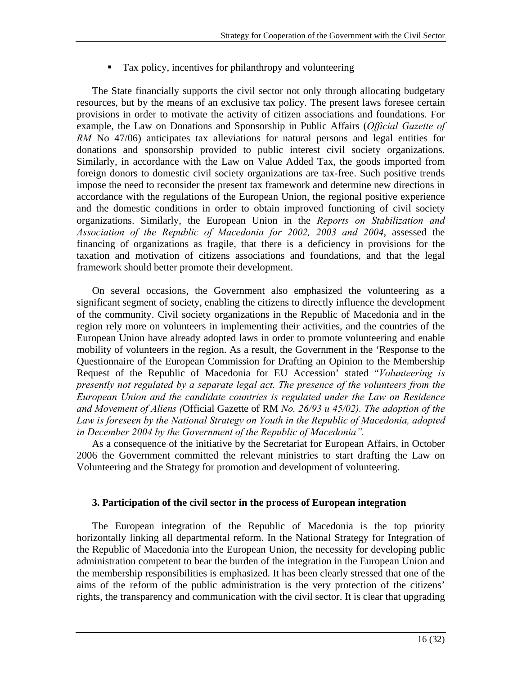**Tax policy, incentives for philanthropy and volunteering** 

The State financially supports the civil sector not only through allocating budgetary resources, but by the means of an exclusive tax policy. The present laws foresee certain provisions in order to motivate the activity of citizen associations and foundations. For example, the Law on Donations and Sponsorship in Public Affairs (*Official Gazette of RM* No 47/06) anticipates tax alleviations for natural persons and legal entities for donations and sponsorship provided to public interest civil society organizations. Similarly, in accordance with the Law on Value Added Tax, the goods imported from foreign donors to domestic civil society organizations are tax-free. Such positive trends impose the need to reconsider the present tax framework and determine new directions in accordance with the regulations of the European Union, the regional positive experience and the domestic conditions in order to obtain improved functioning of civil society organizations. Similarly, the European Union in the *Reports on Stabilization and Association of the Republic of Macedonia for 2002, 2003 and 2004*, assessed the financing of organizations as fragile, that there is a deficiency in provisions for the taxation and motivation of citizens associations and foundations, and that the legal framework should better promote their development.

On several occasions, the Government also emphasized the volunteering as a significant segment of society, enabling the citizens to directly influence the development of the community. Civil society organizations in the Republic of Macedonia and in the region rely more on volunteers in implementing their activities, and the countries of the European Union have already adopted laws in order to promote volunteering and enable mobility of volunteers in the region. As a result, the Government in the 'Response to the Questionnaire of the European Commission for Drafting an Opinion to the Membership Request of the Republic of Macedonia for EU Accession' stated "*Volunteering is presently not regulated by a separate legal act. The presence of the volunteers from the European Union and the candidate countries is regulated under the Law on Residence and Movement of Aliens (*Official Gazette of RM *No. 26/93 и 45/02). The adoption of the Law is foreseen by the National Strategy on Youth in the Republic of Macedonia, adopted in December 2004 by the Government of the Republic of Macedonia".* 

As a consequence of the initiative by the Secretariat for European Affairs, in October 2006 the Government committed the relevant ministries to start drafting the Law on Volunteering and the Strategy for promotion and development of volunteering.

## **3. Participation of the civil sector in the process of European integration**

The European integration of the Republic of Macedonia is the top priority horizontally linking all departmental reform. In the National Strategy for Integration of the Republic of Macedonia into the European Union, the necessity for developing public administration competent to bear the burden of the integration in the European Union and the membership responsibilities is emphasized. It has been clearly stressed that one of the aims of the reform of the public administration is the very protection of the citizens' rights, the transparency and communication with the civil sector. It is clear that upgrading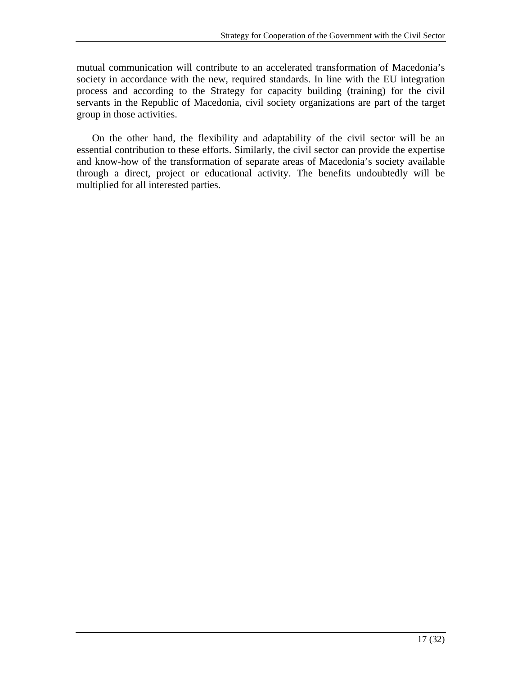mutual communication will contribute to an accelerated transformation of Macedonia's society in accordance with the new, required standards. In line with the EU integration process and according to the Strategy for capacity building (training) for the civil servants in the Republic of Macedonia, civil society organizations are part of the target group in those activities.

On the other hand, the flexibility and adaptability of the civil sector will be an essential contribution to these efforts. Similarly, the civil sector can provide the expertise and know-how of the transformation of separate areas of Macedonia's society available through a direct, project or educational activity. The benefits undoubtedly will be multiplied for all interested parties.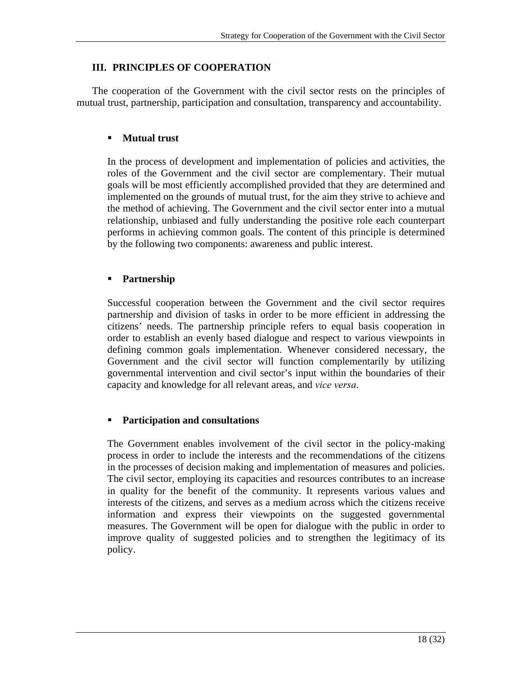## **III. PRINCIPLES OF COOPERATION**

The cooperation of the Government with the civil sector rests on the principles of mutual trust, partnership, participation and consultation, transparency and accountability.

### **Mutual trust**

In the process of development and implementation of policies and activities, the roles of the Government and the civil sector are complementary. Their mutual goals will be most efficiently accomplished provided that they are determined and implemented on the grounds of mutual trust, for the aim they strive to achieve and the method of achieving. The Government and the civil sector enter into a mutual relationship, unbiased and fully understanding the positive role each counterpart performs in achieving common goals. The content of this principle is determined by the following two components: awareness and public interest.

#### **Partnership**

Successful cooperation between the Government and the civil sector requires partnership and division of tasks in order to be more efficient in addressing the citizens' needs. The partnership principle refers to equal basis cooperation in order to establish an evenly based dialogue and respect to various viewpoints in defining common goals implementation. Whenever considered necessary, the Government and the civil sector will function complementarily by utilizing governmental intervention and civil sector's input within the boundaries of their capacity and knowledge for all relevant areas, and *vice versa*.

#### **Participation and consultations**

The Government enables involvement of the civil sector in the policy-making process in order to include the interests and the recommendations of the citizens in the processes of decision making and implementation of measures and policies. The civil sector, employing its capacities and resources contributes to an increase in quality for the benefit of the community. It represents various values and interests of the citizens, and serves as a medium across which the citizens receive information and express their viewpoints on the suggested governmental measures. The Government will be open for dialogue with the public in order to improve quality of suggested policies and to strengthen the legitimacy of its policy.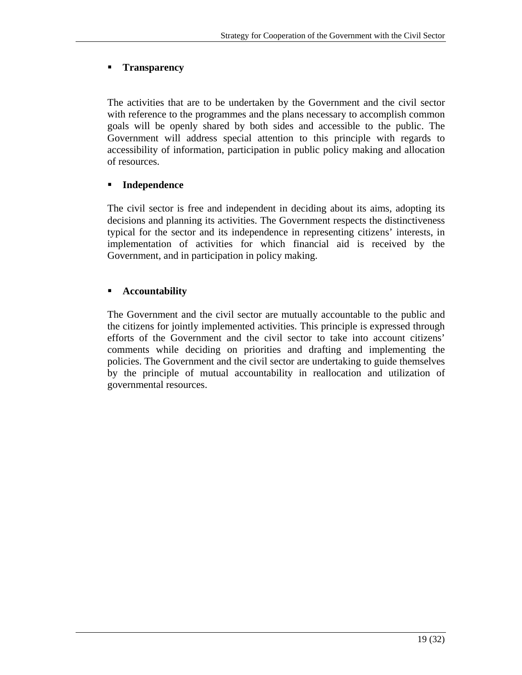## **Transparency**

The activities that are to be undertaken by the Government and the civil sector with reference to the programmes and the plans necessary to accomplish common goals will be openly shared by both sides and accessible to the public. The Government will address special attention to this principle with regards to accessibility of information, participation in public policy making and allocation of resources.

## **Independence**

The civil sector is free and independent in deciding about its aims, adopting its decisions and planning its activities. The Government respects the distinctiveness typical for the sector and its independence in representing citizens' interests, in implementation of activities for which financial aid is received by the Government, and in participation in policy making.

## **Accountability**

The Government and the civil sector are mutually accountable to the public and the citizens for jointly implemented activities. This principle is expressed through efforts of the Government and the civil sector to take into account citizens' comments while deciding on priorities and drafting and implementing the policies. The Government and the civil sector are undertaking to guide themselves by the principle of mutual accountability in reallocation and utilization of governmental resources.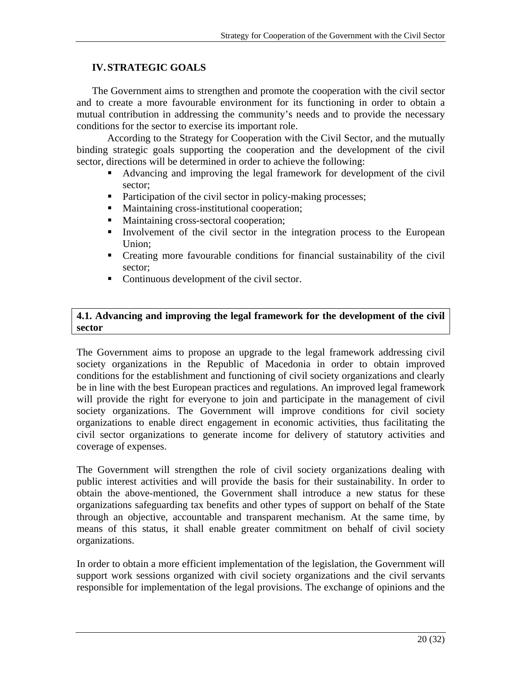## **IV. STRATEGIC GOALS**

The Government aims to strengthen and promote the cooperation with the civil sector and to create a more favourable environment for its functioning in order to obtain a mutual contribution in addressing the community's needs and to provide the necessary conditions for the sector to exercise its important role.

According to the Strategy for Cooperation with the Civil Sector, and the mutually binding strategic goals supporting the cooperation and the development of the civil sector, directions will be determined in order to achieve the following:

- Advancing and improving the legal framework for development of the civil sector;
- Participation of the civil sector in policy-making processes;
- **Maintaining cross-institutional cooperation;**
- **Maintaining cross-sectoral cooperation;**
- Involvement of the civil sector in the integration process to the European Union;
- Creating more favourable conditions for financial sustainability of the civil sector;
- Continuous development of the civil sector.

### **4.1. Advancing and improving the legal framework for the development of the civil sector**

The Government aims to propose an upgrade to the legal framework addressing civil society organizations in the Republic of Macedonia in order to obtain improved conditions for the establishment and functioning of civil society organizations and clearly be in line with the best European practices and regulations. An improved legal framework will provide the right for everyone to join and participate in the management of civil society organizations. The Government will improve conditions for civil society organizations to enable direct engagement in economic activities, thus facilitating the civil sector organizations to generate income for delivery of statutory activities and coverage of expenses.

The Government will strengthen the role of civil society organizations dealing with public interest activities and will provide the basis for their sustainability. In order to obtain the above-mentioned, the Government shall introduce a new status for these organizations safeguarding tax benefits and other types of support on behalf of the State through an objective, accountable and transparent mechanism. At the same time, by means of this status, it shall enable greater commitment on behalf of civil society organizations.

In order to obtain a more efficient implementation of the legislation, the Government will support work sessions organized with civil society organizations and the civil servants responsible for implementation of the legal provisions. The exchange of opinions and the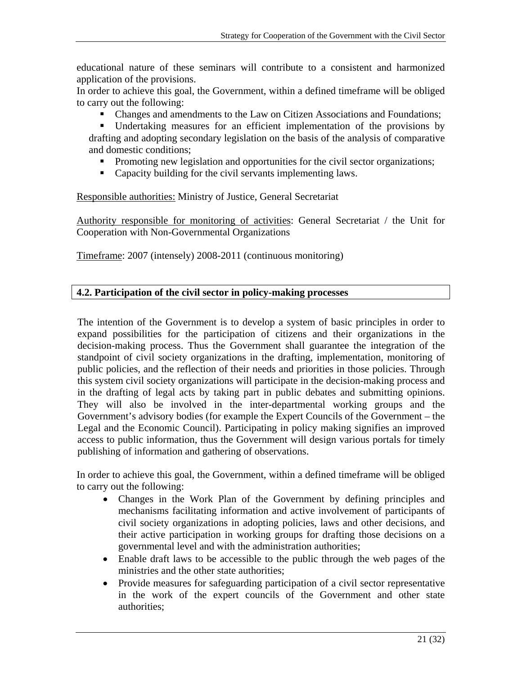educational nature of these seminars will contribute to a consistent and harmonized application of the provisions.

In order to achieve this goal, the Government, within a defined timeframe will be obliged to carry out the following:

Changes and amendments to the Law on Citizen Associations and Foundations;

 Undertaking measures for an efficient implementation of the provisions by drafting and adopting secondary legislation on the basis of the analysis of comparative and domestic conditions;

- **Promoting new legislation and opportunities for the civil sector organizations;**
- Capacity building for the civil servants implementing laws.

Responsible authorities: Ministry of Justice, General Secretariat

Authority responsible for monitoring of activities: General Secretariat / the Unit for Cooperation with Non-Governmental Organizations

Timeframe: 2007 (intensely) 2008-2011 (continuous monitoring)

## **4.2. Participation of the civil sector in policy-making processes**

The intention of the Government is to develop a system of basic principles in order to expand possibilities for the participation of citizens and their organizations in the decision-making process. Thus the Government shall guarantee the integration of the standpoint of civil society organizations in the drafting, implementation, monitoring of public policies, and the reflection of their needs and priorities in those policies. Through this system civil society organizations will participate in the decision-making process and in the drafting of legal acts by taking part in public debates and submitting opinions. They will also be involved in the inter-departmental working groups and the Government's advisory bodies (for example the Expert Councils of the Government – the Legal and the Economic Council). Participating in policy making signifies an improved access to public information, thus the Government will design various portals for timely publishing of information and gathering of observations.

In order to achieve this goal, the Government, within a defined timeframe will be obliged to carry out the following:

- Changes in the Work Plan of the Government by defining principles and mechanisms facilitating information and active involvement of participants of civil society organizations in adopting policies, laws and other decisions, and their active participation in working groups for drafting those decisions on a governmental level and with the administration authorities;
- Enable draft laws to be accessible to the public through the web pages of the ministries and the other state authorities;
- Provide measures for safeguarding participation of a civil sector representative in the work of the expert councils of the Government and other state authorities;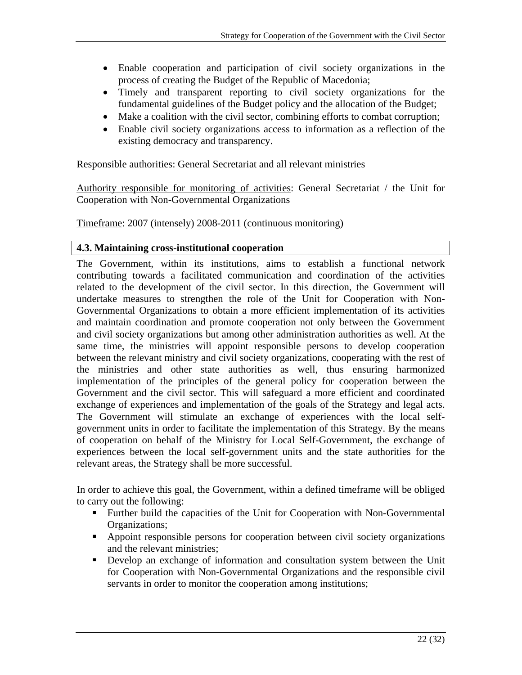- Enable cooperation and participation of civil society organizations in the process of creating the Budget of the Republic of Macedonia;
- Timely and transparent reporting to civil society organizations for the fundamental guidelines of the Budget policy and the allocation of the Budget;
- Make a coalition with the civil sector, combining efforts to combat corruption;
- Enable civil society organizations access to information as a reflection of the existing democracy and transparency.

Responsible authorities: General Secretariat and all relevant ministries

Authority responsible for monitoring of activities: General Secretariat / the Unit for Cooperation with Non-Governmental Organizations

Timeframe: 2007 (intensely) 2008-2011 (continuous monitoring)

## **4.3. Maintaining cross-institutional cooperation**

The Government, within its institutions, aims to establish a functional network contributing towards a facilitated communication and coordination of the activities related to the development of the civil sector. In this direction, the Government will undertake measures to strengthen the role of the Unit for Cooperation with Non-Governmental Organizations to obtain a more efficient implementation of its activities and maintain coordination and promote cooperation not only between the Government and civil society organizations but among other administration authorities as well. At the same time, the ministries will appoint responsible persons to develop cooperation between the relevant ministry and civil society organizations, cooperating with the rest of the ministries and other state authorities as well, thus ensuring harmonized implementation of the principles of the general policy for cooperation between the Government and the civil sector. This will safeguard a more efficient and coordinated exchange of experiences and implementation of the goals of the Strategy and legal acts. The Government will stimulate an exchange of experiences with the local selfgovernment units in order to facilitate the implementation of this Strategy. By the means of cooperation on behalf of the Ministry for Local Self-Government, the exchange of experiences between the local self-government units and the state authorities for the relevant areas, the Strategy shall be more successful.

In order to achieve this goal, the Government, within a defined timeframe will be obliged to carry out the following:

- Further build the capacities of the Unit for Cooperation with Non-Governmental Organizations;
- Appoint responsible persons for cooperation between civil society organizations and the relevant ministries;
- Develop an exchange of information and consultation system between the Unit for Cooperation with Non-Governmental Organizations and the responsible civil servants in order to monitor the cooperation among institutions;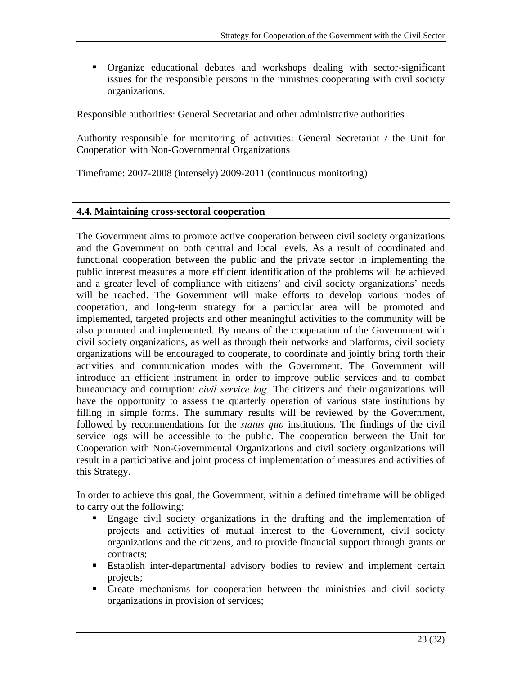Organize educational debates and workshops dealing with sector-significant issues for the responsible persons in the ministries cooperating with civil society organizations.

Responsible authorities: General Secretariat and other administrative authorities

Authority responsible for monitoring of activities: General Secretariat / the Unit for Cooperation with Non-Governmental Organizations

Timeframe: 2007-2008 (intensely) 2009-2011 (continuous monitoring)

## **4.4. Maintaining cross-sectoral cooperation**

The Government aims to promote active cooperation between civil society organizations and the Government on both central and local levels. As a result of coordinated and functional cooperation between the public and the private sector in implementing the public interest measures a more efficient identification of the problems will be achieved and a greater level of compliance with citizens' and civil society organizations' needs will be reached. The Government will make efforts to develop various modes of cooperation, and long-term strategy for a particular area will be promoted and implemented, targeted projects and other meaningful activities to the community will be also promoted and implemented. By means of the cooperation of the Government with civil society organizations, as well as through their networks and platforms, civil society organizations will be encouraged to cooperate, to coordinate and jointly bring forth their activities and communication modes with the Government. The Government will introduce an efficient instrument in order to improve public services and to combat bureaucracy and corruption: *civil service log.* The citizens and their organizations will have the opportunity to assess the quarterly operation of various state institutions by filling in simple forms. The summary results will be reviewed by the Government, followed by recommendations for the *status quo* institutions. The findings of the civil service logs will be accessible to the public. The cooperation between the Unit for Cooperation with Non-Governmental Organizations and civil society organizations will result in a participative and joint process of implementation of measures and activities of this Strategy.

In order to achieve this goal, the Government, within a defined timeframe will be obliged to carry out the following:

- Engage civil society organizations in the drafting and the implementation of projects and activities of mutual interest to the Government, civil society organizations and the citizens, and to provide financial support through grants or contracts;
- Establish inter-departmental advisory bodies to review and implement certain projects;
- Create mechanisms for cooperation between the ministries and civil society organizations in provision of services;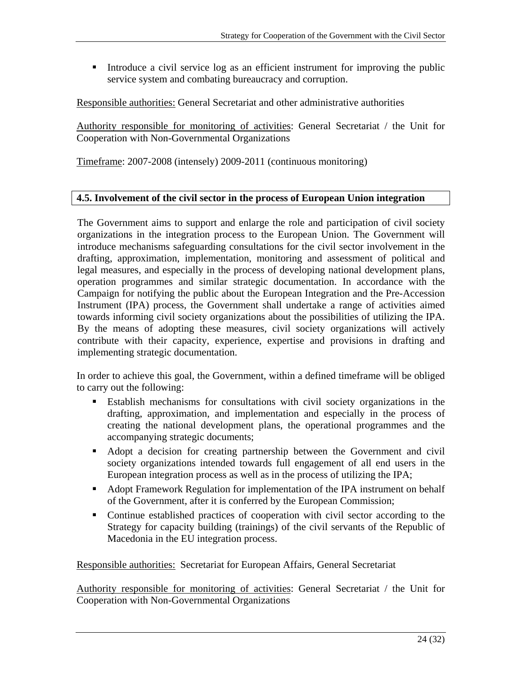Introduce a civil service log as an efficient instrument for improving the public service system and combating bureaucracy and corruption.

Responsible authorities: General Secretariat and other administrative authorities

Authority responsible for monitoring of activities: General Secretariat / the Unit for Cooperation with Non-Governmental Organizations

Timeframe: 2007-2008 (intensely) 2009-2011 (continuous monitoring)

## **4.5. Involvement of the civil sector in the process of European Union integration**

The Government aims to support and enlarge the role and participation of civil society organizations in the integration process to the European Union. The Government will introduce mechanisms safeguarding consultations for the civil sector involvement in the drafting, approximation, implementation, monitoring and assessment of political and legal measures, and especially in the process of developing national development plans, operation programmes and similar strategic documentation. In accordance with the Campaign for notifying the public about the European Integration and the Pre-Accession Instrument (IPA) process, the Government shall undertake a range of activities aimed towards informing civil society organizations about the possibilities of utilizing the IPA. By the means of adopting these measures, civil society organizations will actively contribute with their capacity, experience, expertise and provisions in drafting and implementing strategic documentation.

In order to achieve this goal, the Government, within a defined timeframe will be obliged to carry out the following:

- Establish mechanisms for consultations with civil society organizations in the drafting, approximation, and implementation and especially in the process of creating the national development plans, the operational programmes and the accompanying strategic documents;
- Adopt a decision for creating partnership between the Government and civil society organizations intended towards full engagement of all end users in the European integration process as well as in the process of utilizing the IPA;
- Adopt Framework Regulation for implementation of the IPA instrument on behalf of the Government, after it is conferred by the European Commission;
- Continue established practices of cooperation with civil sector according to the Strategy for capacity building (trainings) of the civil servants of the Republic of Macedonia in the EU integration process.

Responsible authorities: Secretariat for European Affairs, General Secretariat

Authority responsible for monitoring of activities: General Secretariat / the Unit for Cooperation with Non-Governmental Organizations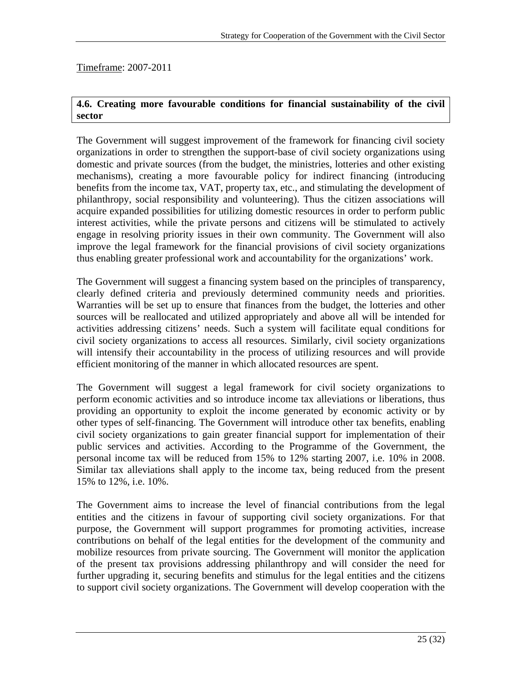Timeframe: 2007-2011

## **4.6. Creating more favourable conditions for financial sustainability of the civil sector**

The Government will suggest improvement of the framework for financing civil society organizations in order to strengthen the support-base of civil society organizations using domestic and private sources (from the budget, the ministries, lotteries and other existing mechanisms), creating a more favourable policy for indirect financing (introducing benefits from the income tax, VAT, property tax, etc., and stimulating the development of philanthropy, social responsibility and volunteering). Thus the citizen associations will acquire expanded possibilities for utilizing domestic resources in order to perform public interest activities, while the private persons and citizens will be stimulated to actively engage in resolving priority issues in their own community. The Government will also improve the legal framework for the financial provisions of civil society organizations thus enabling greater professional work and accountability for the organizations' work.

The Government will suggest a financing system based on the principles of transparency, clearly defined criteria and previously determined community needs and priorities. Warranties will be set up to ensure that finances from the budget, the lotteries and other sources will be reallocated and utilized appropriately and above all will be intended for activities addressing citizens' needs. Such a system will facilitate equal conditions for civil society organizations to access all resources. Similarly, civil society organizations will intensify their accountability in the process of utilizing resources and will provide efficient monitoring of the manner in which allocated resources are spent.

The Government will suggest a legal framework for civil society organizations to perform economic activities and so introduce income tax alleviations or liberations, thus providing an opportunity to exploit the income generated by economic activity or by other types of self-financing. The Government will introduce other tax benefits, enabling civil society organizations to gain greater financial support for implementation of their public services and activities. According to the Programme of the Government, the personal income tax will be reduced from 15% to 12% starting 2007, i.e. 10% in 2008. Similar tax alleviations shall apply to the income tax, being reduced from the present 15% to 12%, i.e. 10%.

The Government aims to increase the level of financial contributions from the legal entities and the citizens in favour of supporting civil society organizations. For that purpose, the Government will support programmes for promoting activities, increase contributions on behalf of the legal entities for the development of the community and mobilize resources from private sourcing. The Government will monitor the application of the present tax provisions addressing philanthropy and will consider the need for further upgrading it, securing benefits and stimulus for the legal entities and the citizens to support civil society organizations. The Government will develop cooperation with the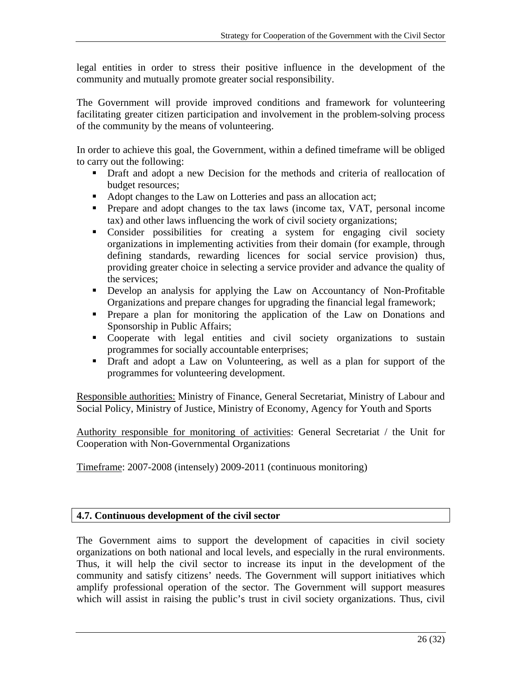legal entities in order to stress their positive influence in the development of the community and mutually promote greater social responsibility.

The Government will provide improved conditions and framework for volunteering facilitating greater citizen participation and involvement in the problem-solving process of the community by the means of volunteering.

In order to achieve this goal, the Government, within a defined timeframe will be obliged to carry out the following:

- Draft and adopt a new Decision for the methods and criteria of reallocation of budget resources;
- Adopt changes to the Law on Lotteries and pass an allocation act;
- Prepare and adopt changes to the tax laws (income tax, VAT, personal income tax) and other laws influencing the work of civil society organizations;
- Consider possibilities for creating a system for engaging civil society organizations in implementing activities from their domain (for example, through defining standards, rewarding licences for social service provision) thus, providing greater choice in selecting a service provider and advance the quality of the services;
- Develop an analysis for applying the Law on Accountancy of Non-Profitable Organizations and prepare changes for upgrading the financial legal framework;
- Prepare a plan for monitoring the application of the Law on Donations and Sponsorship in Public Affairs;
- Cooperate with legal entities and civil society organizations to sustain programmes for socially accountable enterprises;
- Draft and adopt a Law on Volunteering, as well as a plan for support of the programmes for volunteering development.

Responsible authorities: Ministry of Finance, General Secretariat, Ministry of Labour and Social Policy, Ministry of Justice, Ministry of Economy, Agency for Youth and Sports

Authority responsible for monitoring of activities: General Secretariat / the Unit for Cooperation with Non-Governmental Organizations

Timeframe: 2007-2008 (intensely) 2009-2011 (continuous monitoring)

## **4.7. Continuous development of the civil sector**

The Government aims to support the development of capacities in civil society organizations on both national and local levels, and especially in the rural environments. Thus, it will help the civil sector to increase its input in the development of the community and satisfy citizens' needs. The Government will support initiatives which amplify professional operation of the sector. The Government will support measures which will assist in raising the public's trust in civil society organizations. Thus, civil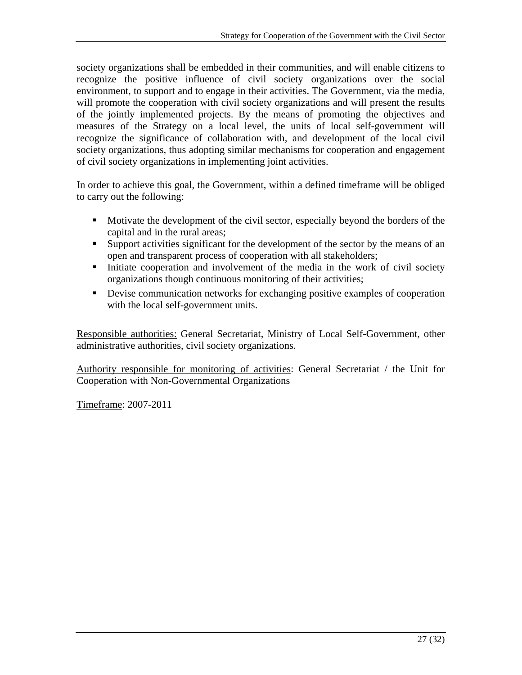society organizations shall be embedded in their communities, and will enable citizens to recognize the positive influence of civil society organizations over the social environment, to support and to engage in their activities. The Government, via the media, will promote the cooperation with civil society organizations and will present the results of the jointly implemented projects. By the means of promoting the objectives and measures of the Strategy on a local level, the units of local self-government will recognize the significance of collaboration with, and development of the local civil society organizations, thus adopting similar mechanisms for cooperation and engagement of civil society organizations in implementing joint activities.

In order to achieve this goal, the Government, within a defined timeframe will be obliged to carry out the following:

- Motivate the development of the civil sector, especially beyond the borders of the capital and in the rural areas;
- Support activities significant for the development of the sector by the means of an open and transparent process of cooperation with all stakeholders;
- Initiate cooperation and involvement of the media in the work of civil society organizations though continuous monitoring of their activities;
- Devise communication networks for exchanging positive examples of cooperation with the local self-government units.

Responsible authorities: General Secretariat, Ministry of Local Self-Government, other administrative authorities, civil society organizations.

Authority responsible for monitoring of activities: General Secretariat / the Unit for Cooperation with Non-Governmental Organizations

Timeframe: 2007-2011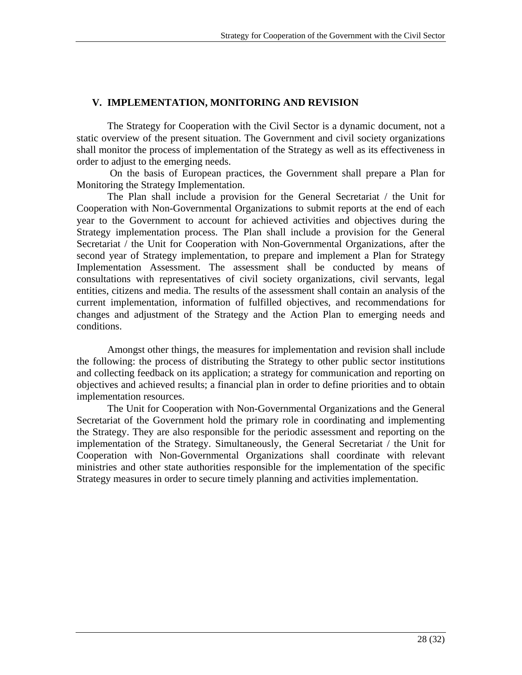## **V. IMPLEMENTATION, MONITORING AND REVISION**

The Strategy for Cooperation with the Civil Sector is a dynamic document, not a static overview of the present situation. The Government and civil society organizations shall monitor the process of implementation of the Strategy as well as its effectiveness in order to adjust to the emerging needs.

 On the basis of European practices, the Government shall prepare a Plan for Monitoring the Strategy Implementation.

The Plan shall include a provision for the General Secretariat / the Unit for Cooperation with Non-Governmental Organizations to submit reports at the end of each year to the Government to account for achieved activities and objectives during the Strategy implementation process. The Plan shall include a provision for the General Secretariat / the Unit for Cooperation with Non-Governmental Organizations, after the second year of Strategy implementation, to prepare and implement a Plan for Strategy Implementation Assessment. The assessment shall be conducted by means of consultations with representatives of civil society organizations, civil servants, legal entities, citizens and media. The results of the assessment shall contain an analysis of the current implementation, information of fulfilled objectives, and recommendations for changes and adjustment of the Strategy and the Action Plan to emerging needs and conditions.

Amongst other things, the measures for implementation and revision shall include the following: the process of distributing the Strategy to other public sector institutions and collecting feedback on its application; a strategy for communication and reporting on objectives and achieved results; a financial plan in order to define priorities and to obtain implementation resources.

 The Unit for Cooperation with Non-Governmental Organizations and the General Secretariat of the Government hold the primary role in coordinating and implementing the Strategy. They are also responsible for the periodic assessment and reporting on the implementation of the Strategy. Simultaneously, the General Secretariat / the Unit for Cooperation with Non-Governmental Organizations shall coordinate with relevant ministries and other state authorities responsible for the implementation of the specific Strategy measures in order to secure timely planning and activities implementation.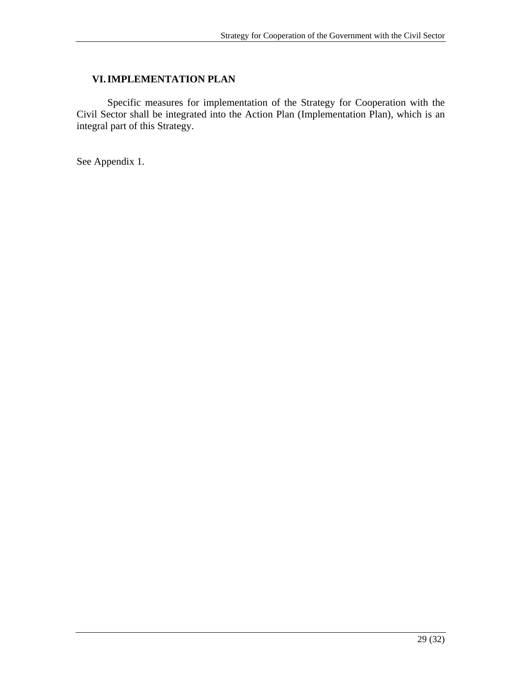## **VI.IMPLEMENTATION PLAN**

 Specific measures for implementation of the Strategy for Cooperation with the Civil Sector shall be integrated into the Action Plan (Implementation Plan), which is an integral part of this Strategy.

See Appendix 1.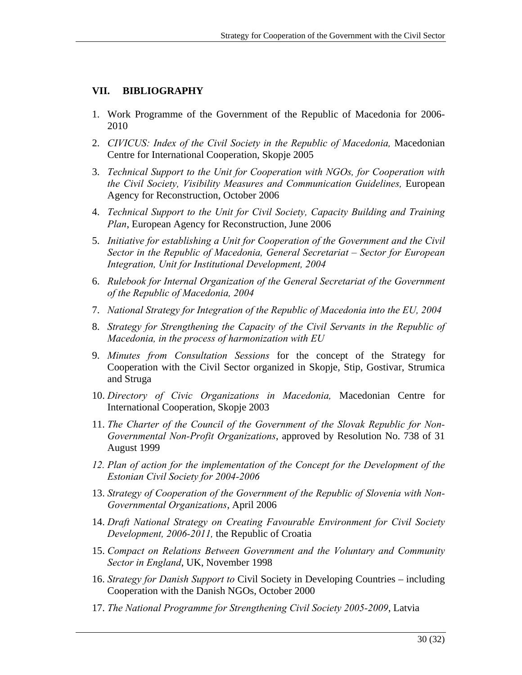## **VII. BIBLIOGRAPHY**

- 1. Work Programme of the Government of the Republic of Macedonia for 2006- 2010
- 2. *CIVICUS: Index of the Civil Society in the Republic of Macedonia,* Macedonian Centre for International Cooperation, Skopje 2005
- 3. *Technical Support to the Unit for Cooperation with NGOs, for Cooperation with the Civil Society, Visibility Measures and Communication Guidelines,* European Agency for Reconstruction, October 2006
- 4. *Technical Support to the Unit for Civil Society, Capacity Building and Training Plan*, European Agency for Reconstruction, June 2006
- 5. *Initiative for establishing a Unit for Cooperation of the Government and the Civil Sector in the Republic of Macedonia, General Secretariat – Sector for European Integration, Unit for Institutional Development, 2004*
- 6. *Rulebook for Internal Organization of the General Secretariat of the Government of the Republic of Macedonia, 2004*
- 7. *National Strategy for Integration of the Republic of Macedonia into the EU, 2004*
- 8. *Strategy for Strengthening the Capacity of the Civil Servants in the Republic of Macedonia, in the process of harmonization with EU*
- 9. *Minutes from Consultation Sessions* for the concept of the Strategy for Cooperation with the Civil Sector organized in Skopje, Stip, Gostivar, Strumica and Struga
- 10. *Directory of Civic Organizations in Macedonia,* Macedonian Centre for International Cooperation, Skopje 2003
- 11. *The Charter of the Council of the Government of the Slovak Republic for Non-Governmental Non-Profit Organizations*, approved by Resolution No. 738 of 31 August 1999
- *12. Plan of action for the implementation of the Concept for the Development of the Estonian Civil Society for 2004-2006*
- 13. *Strategy of Cooperation of the Government of the Republic of Slovenia with Non-Governmental Organizations*, April 2006
- 14. *Draft National Strategy on Creating Favourable Environment for Civil Society Development, 2006-2011,* the Republic of Croatia
- 15. *Compact on Relations Between Government and the Voluntary and Community Sector in England*, UK, November 1998
- 16. *Strategy for Danish Support to* Civil Society in Developing Countries including Cooperation with the Danish NGOs, October 2000
- 17. *The National Programme for Strengthening Civil Society 2005-2009*, Latvia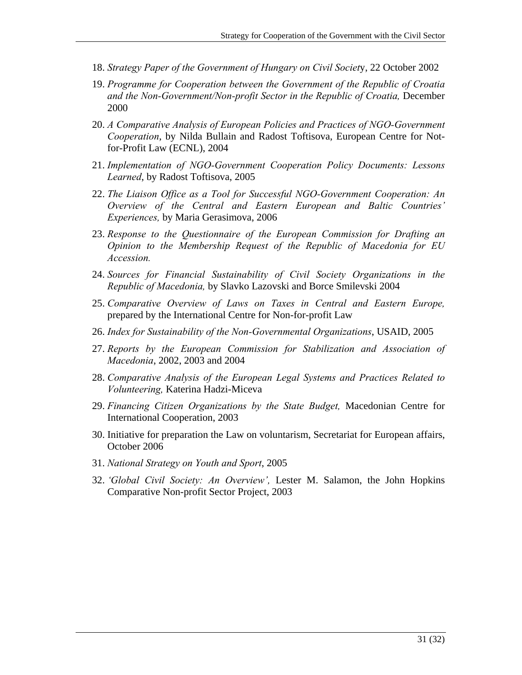- 18. *Strategy Paper of the Government of Hungary on Civil Societ*y, 22 October 2002
- 19. *Programme for Cooperation between the Government of the Republic of Croatia and the Non-Government/Non-profit Sector in the Republic of Croatia,* December 2000
- 20. *A Comparative Analysis of European Policies and Practices of NGO-Government Cooperation*, by Nilda Bullain and Radost Toftisova, European Centre for Notfor-Profit Law (ECNL), 2004
- 21. *Implementation of NGO-Government Cooperation Policy Documents: Lessons Learned*, by Radost Toftisova, 2005
- 22. *The Liaison Office as a Tool for Successful NGO-Government Cooperation: An Overview of the Central and Eastern European and Baltic Countries' Experiences,* by Maria Gerasimova, 2006
- 23. *Response to the Questionnaire of the European Commission for Drafting an Opinion to the Membership Request of the Republic of Macedonia for EU Accession.*
- 24. *Sources for Financial Sustainability of Civil Society Organizations in the Republic of Macedonia,* by Slavko Lazovski and Borce Smilevski 2004
- 25. *Comparative Overview of Laws on Taxes in Central and Eastern Europe,*  prepared by the International Centre for Non-for-profit Law
- 26. *Index for Sustainability of the Non-Governmental Organizations*, USAID, 2005
- 27. *Reports by the European Commission for Stabilization and Association of Macedonia*, 2002, 2003 and 2004
- 28. *Comparative Analysis of the European Legal Systems and Practices Related to Volunteering,* Katerina Hadzi-Miceva
- 29. *Financing Citizen Organizations by the State Budget,* Macedonian Centre for International Cooperation, 2003
- 30. Initiative for preparation the Law on voluntarism, Secretariat for European affairs, October 2006
- 31. *National Strategy on Youth and Sport*, 2005
- 32. *'Global Civil Society: An Overview',* Lester M. Salamon, the John Hopkins Comparative Non-profit Sector Project, 2003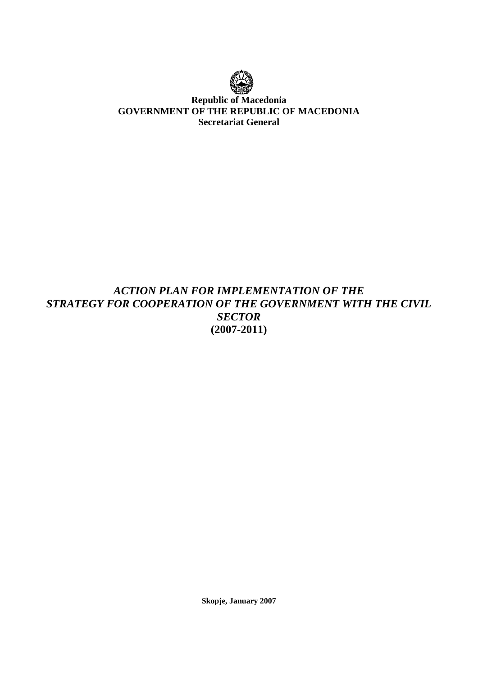

## **Republic of Macedonia GOVERNMENT OF THE REPUBLIC OF MACEDONIA Secretariat General**

# *ACTION PLAN FOR IMPLEMENTATION OF THE STRATEGY FOR COOPERATION OF THE GOVERNMENT WITH THE CIVIL SECTOR*  **(2007-2011)**

**Skopje, January 2007**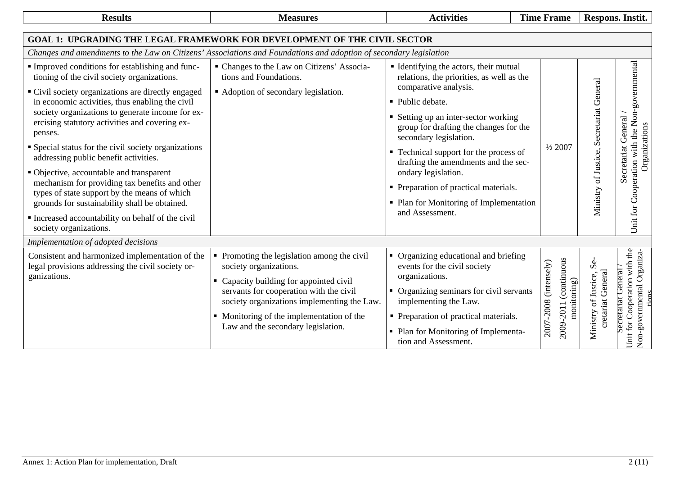| <b>Results</b>                                                                                                                                                                                                                                                                                                                                                                                                                                                                                                                                                                                                                                                                                       | <b>Measures</b>                                                                                                                                                                                                                                                                               | <b>Activities</b>                                                                                                                                                                                                                                                                                                                                                                                                                                            | <b>Time Frame</b>                                             |                                                 | Respons. Instit.                                                                           |
|------------------------------------------------------------------------------------------------------------------------------------------------------------------------------------------------------------------------------------------------------------------------------------------------------------------------------------------------------------------------------------------------------------------------------------------------------------------------------------------------------------------------------------------------------------------------------------------------------------------------------------------------------------------------------------------------------|-----------------------------------------------------------------------------------------------------------------------------------------------------------------------------------------------------------------------------------------------------------------------------------------------|--------------------------------------------------------------------------------------------------------------------------------------------------------------------------------------------------------------------------------------------------------------------------------------------------------------------------------------------------------------------------------------------------------------------------------------------------------------|---------------------------------------------------------------|-------------------------------------------------|--------------------------------------------------------------------------------------------|
| <b>GOAL 1: UPGRADING THE LEGAL FRAMEWORK FOR DEVELOPMENT OF THE CIVIL SECTOR</b>                                                                                                                                                                                                                                                                                                                                                                                                                                                                                                                                                                                                                     |                                                                                                                                                                                                                                                                                               |                                                                                                                                                                                                                                                                                                                                                                                                                                                              |                                                               |                                                 |                                                                                            |
| Changes and amendments to the Law on Citizens' Associations and Foundations and adoption of secondary legislation                                                                                                                                                                                                                                                                                                                                                                                                                                                                                                                                                                                    |                                                                                                                                                                                                                                                                                               |                                                                                                                                                                                                                                                                                                                                                                                                                                                              |                                                               |                                                 |                                                                                            |
| Improved conditions for establishing and func-<br>tioning of the civil society organizations.<br>• Civil society organizations are directly engaged<br>in economic activities, thus enabling the civil<br>society organizations to generate income for ex-<br>ercising statutory activities and covering ex-<br>penses.<br>• Special status for the civil society organizations<br>addressing public benefit activities.<br>• Objective, accountable and transparent<br>mechanism for providing tax benefits and other<br>types of state support by the means of which<br>grounds for sustainability shall be obtained.<br>Increased accountability on behalf of the civil<br>society organizations. | • Changes to the Law on Citizens' Associa-<br>tions and Foundations.<br>• Adoption of secondary legislation.                                                                                                                                                                                  | • Identifying the actors, their mutual<br>relations, the priorities, as well as the<br>comparative analysis.<br>• Public debate.<br>• Setting up an inter-sector working<br>group for drafting the changes for the<br>secondary legislation.<br>• Technical support for the process of<br>drafting the amendments and the sec-<br>ondary legislation.<br>• Preparation of practical materials.<br>• Plan for Monitoring of Implementation<br>and Assessment. | $\frac{1}{2}2007$                                             | Ministry of Justice, Secretariat General        | governmental<br>Unit for Cooperation with the Non-<br>Secretariat General<br>Organizations |
| Implementation of adopted decisions                                                                                                                                                                                                                                                                                                                                                                                                                                                                                                                                                                                                                                                                  |                                                                                                                                                                                                                                                                                               |                                                                                                                                                                                                                                                                                                                                                                                                                                                              |                                                               |                                                 |                                                                                            |
| Consistent and harmonized implementation of the<br>legal provisions addressing the civil society or-<br>ganizations.                                                                                                                                                                                                                                                                                                                                                                                                                                                                                                                                                                                 | • Promoting the legislation among the civil<br>society organizations.<br>• Capacity building for appointed civil<br>servants for cooperation with the civil<br>society organizations implementing the Law.<br>• Monitoring of the implementation of the<br>Law and the secondary legislation. | • Organizing educational and briefing<br>events for the civil society<br>organizations.<br>• Organizing seminars for civil servants<br>implementing the Law.<br>• Preparation of practical materials.<br>• Plan for Monitoring of Implementa-<br>tion and Assessment.                                                                                                                                                                                        | 2009-2011 (continuous<br>2007-2008 (intensely)<br>monitoring) | చల<br>cretariat General<br>Ministry of Justice, | Jnit for Cooperation with the<br>Non-governmental Organiza<br>Secretariat General          |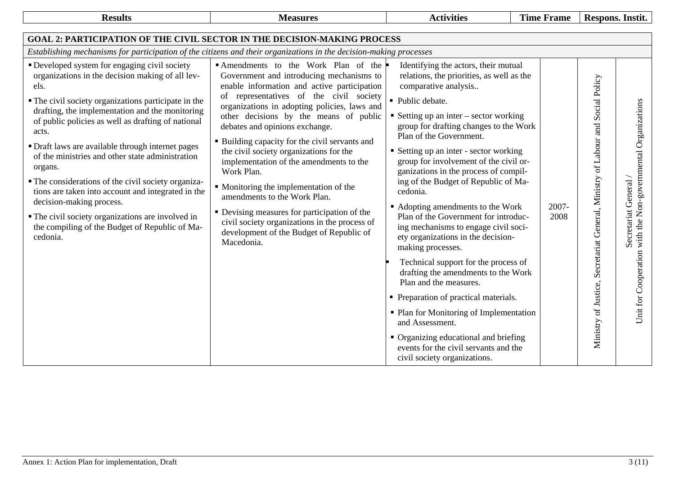| <b>Results</b>                                                                                                                                                                                                                                                                                                                                                                                                                                                                                                                                                                                                                                                      | <b>Measures</b>                                                                                                                                                                                                                                                                                                                                                                                                                                                                                                                                                                                                                                                                                 | <b>Activities</b>                                                                                                                                                                                                                                                                                                                                                                                                                                                                                                                                                                                                                                                                                                                                                                                                                                                                                                                                 | <b>Time Frame</b> | Respons. Instit.                                                                                                                                                         |
|---------------------------------------------------------------------------------------------------------------------------------------------------------------------------------------------------------------------------------------------------------------------------------------------------------------------------------------------------------------------------------------------------------------------------------------------------------------------------------------------------------------------------------------------------------------------------------------------------------------------------------------------------------------------|-------------------------------------------------------------------------------------------------------------------------------------------------------------------------------------------------------------------------------------------------------------------------------------------------------------------------------------------------------------------------------------------------------------------------------------------------------------------------------------------------------------------------------------------------------------------------------------------------------------------------------------------------------------------------------------------------|---------------------------------------------------------------------------------------------------------------------------------------------------------------------------------------------------------------------------------------------------------------------------------------------------------------------------------------------------------------------------------------------------------------------------------------------------------------------------------------------------------------------------------------------------------------------------------------------------------------------------------------------------------------------------------------------------------------------------------------------------------------------------------------------------------------------------------------------------------------------------------------------------------------------------------------------------|-------------------|--------------------------------------------------------------------------------------------------------------------------------------------------------------------------|
| <b>GOAL 2: PARTICIPATION OF THE CIVIL SECTOR IN THE DECISION-MAKING PROCESS</b>                                                                                                                                                                                                                                                                                                                                                                                                                                                                                                                                                                                     |                                                                                                                                                                                                                                                                                                                                                                                                                                                                                                                                                                                                                                                                                                 |                                                                                                                                                                                                                                                                                                                                                                                                                                                                                                                                                                                                                                                                                                                                                                                                                                                                                                                                                   |                   |                                                                                                                                                                          |
| Establishing mechanisms for participation of the citizens and their organizations in the decision-making processes                                                                                                                                                                                                                                                                                                                                                                                                                                                                                                                                                  |                                                                                                                                                                                                                                                                                                                                                                                                                                                                                                                                                                                                                                                                                                 |                                                                                                                                                                                                                                                                                                                                                                                                                                                                                                                                                                                                                                                                                                                                                                                                                                                                                                                                                   |                   |                                                                                                                                                                          |
| • Developed system for engaging civil society<br>organizations in the decision making of all lev-<br>els.<br>• The civil society organizations participate in the<br>drafting, the implementation and the monitoring<br>of public policies as well as drafting of national<br>acts.<br>• Draft laws are available through internet pages<br>of the ministries and other state administration<br>organs.<br>• The considerations of the civil society organiza-<br>tions are taken into account and integrated in the<br>decision-making process.<br>• The civil society organizations are involved in<br>the compiling of the Budget of Republic of Ma-<br>cedonia. | Amendments to the Work Plan of the<br>Government and introducing mechanisms to<br>enable information and active participation<br>of representatives of the civil society<br>organizations in adopting policies, laws and<br>other decisions by the means of public<br>debates and opinions exchange.<br>• Building capacity for the civil servants and<br>the civil society organizations for the<br>implementation of the amendments to the<br>Work Plan.<br>• Monitoring the implementation of the<br>amendments to the Work Plan.<br>• Devising measures for participation of the<br>civil society organizations in the process of<br>development of the Budget of Republic of<br>Macedonia. | Identifying the actors, their mutual<br>relations, the priorities, as well as the<br>comparative analysis<br>• Public debate.<br>■ Setting up an inter $-$ sector working<br>group for drafting changes to the Work<br>Plan of the Government.<br>• Setting up an inter - sector working<br>group for involvement of the civil or-<br>ganizations in the process of compil-<br>ing of the Budget of Republic of Ma-<br>cedonia.<br>• Adopting amendments to the Work<br>Plan of the Government for introduc-<br>ing mechanisms to engage civil soci-<br>ety organizations in the decision-<br>making processes.<br>Technical support for the process of<br>drafting the amendments to the Work<br>Plan and the measures.<br>• Preparation of practical materials.<br>• Plan for Monitoring of Implementation<br>and Assessment.<br>• Organizing educational and briefing<br>events for the civil servants and the<br>civil society organizations. | 2007-<br>2008     | Ministry of Justice, Secretariat General, Ministry of Labour and Social Policy<br>with the Non-governmental Organizations<br>Secretariat General<br>Unit for Cooperation |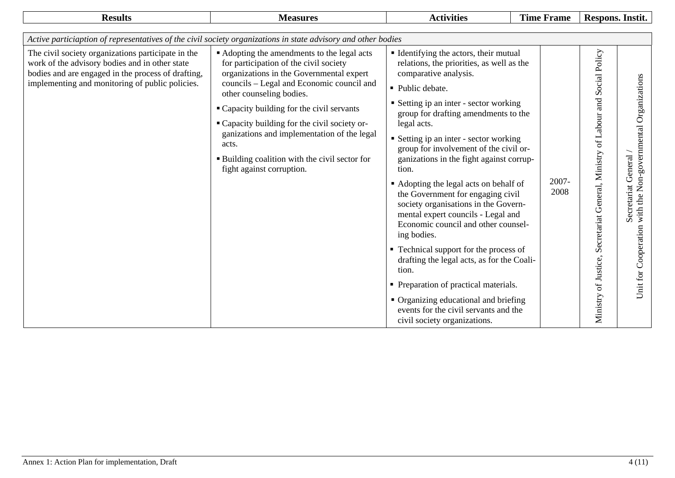| <b>Results</b>                                                                                                                                                                                                | <b>Measures</b>                                                                                                                                                                                                                                                                                                                                                                                                                                       | <b>Activities</b>                                                                                                                                                                                                                                                                                                                                                                                                                                                                                                                                                                                                                                                                                                                                                                                                                                     | <b>Time Frame</b> | Respons. Instit.                                                                                                                                                                        |  |  |  |  |
|---------------------------------------------------------------------------------------------------------------------------------------------------------------------------------------------------------------|-------------------------------------------------------------------------------------------------------------------------------------------------------------------------------------------------------------------------------------------------------------------------------------------------------------------------------------------------------------------------------------------------------------------------------------------------------|-------------------------------------------------------------------------------------------------------------------------------------------------------------------------------------------------------------------------------------------------------------------------------------------------------------------------------------------------------------------------------------------------------------------------------------------------------------------------------------------------------------------------------------------------------------------------------------------------------------------------------------------------------------------------------------------------------------------------------------------------------------------------------------------------------------------------------------------------------|-------------------|-----------------------------------------------------------------------------------------------------------------------------------------------------------------------------------------|--|--|--|--|
| Active particiaption of representatives of the civil society organizations in state advisory and other bodies                                                                                                 |                                                                                                                                                                                                                                                                                                                                                                                                                                                       |                                                                                                                                                                                                                                                                                                                                                                                                                                                                                                                                                                                                                                                                                                                                                                                                                                                       |                   |                                                                                                                                                                                         |  |  |  |  |
| The civil society organizations participate in the<br>work of the advisory bodies and in other state<br>bodies and are engaged in the process of drafting,<br>implementing and monitoring of public policies. | • Adopting the amendments to the legal acts<br>for participation of the civil society<br>organizations in the Governmental expert<br>councils - Legal and Economic council and<br>other counseling bodies.<br>• Capacity building for the civil servants<br>" Capacity building for the civil society or-<br>ganizations and implementation of the legal<br>acts.<br><b>Building coalition with the civil sector for</b><br>fight against corruption. | Identifying the actors, their mutual<br>relations, the priorities, as well as the<br>comparative analysis.<br>• Public debate.<br>■ Setting ip an inter - sector working<br>group for drafting amendments to the<br>legal acts.<br>Setting ip an inter - sector working<br>group for involvement of the civil or-<br>ganizations in the fight against corrup-<br>tion.<br>• Adopting the legal acts on behalf of<br>the Government for engaging civil<br>society organisations in the Govern-<br>mental expert councils - Legal and<br>Economic council and other counsel-<br>ing bodies.<br>• Technical support for the process of<br>drafting the legal acts, as for the Coali-<br>tion.<br>• Preparation of practical materials.<br>• Organizing educational and briefing<br>events for the civil servants and the<br>civil society organizations. | 2007-<br>2008     | Secretariat General, Ministry of Labour and Social Policy<br>Organizations<br>Non-governmental<br>General<br>Secretariat<br>with the<br>Cooperation<br>Ministry of Justice,<br>Unit for |  |  |  |  |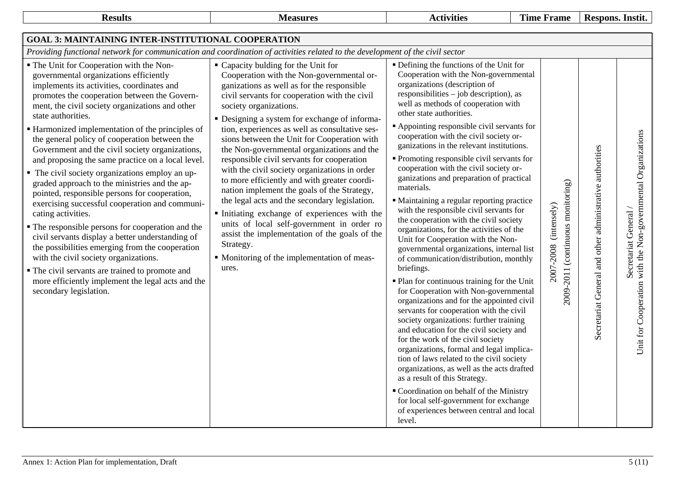| <b>Results</b>                                                                                                                                                                                                                                                                                                                                                                                                                                                                                                                                                                                                                                                                                                                                                                                                                                                                                                                                                                                                                             | <b>Measures</b>                                                                                                                                                                                                                                                                                                                                                                                                                                                                                                                                                                                                                                                                                                                                                                                                                                                             | <b>Activities</b>                                                                                                                                                                                                                                                                                                                                                                                                                                                                                                                                                                                                                                                                                                                                                                                                                                                                                                                                                                                                                                                                                                                                                                                                                                                                                                                                                                                                                                                               | <b>Time Frame</b>                                             | Respons. Instit.                                                                                                                                     |
|--------------------------------------------------------------------------------------------------------------------------------------------------------------------------------------------------------------------------------------------------------------------------------------------------------------------------------------------------------------------------------------------------------------------------------------------------------------------------------------------------------------------------------------------------------------------------------------------------------------------------------------------------------------------------------------------------------------------------------------------------------------------------------------------------------------------------------------------------------------------------------------------------------------------------------------------------------------------------------------------------------------------------------------------|-----------------------------------------------------------------------------------------------------------------------------------------------------------------------------------------------------------------------------------------------------------------------------------------------------------------------------------------------------------------------------------------------------------------------------------------------------------------------------------------------------------------------------------------------------------------------------------------------------------------------------------------------------------------------------------------------------------------------------------------------------------------------------------------------------------------------------------------------------------------------------|---------------------------------------------------------------------------------------------------------------------------------------------------------------------------------------------------------------------------------------------------------------------------------------------------------------------------------------------------------------------------------------------------------------------------------------------------------------------------------------------------------------------------------------------------------------------------------------------------------------------------------------------------------------------------------------------------------------------------------------------------------------------------------------------------------------------------------------------------------------------------------------------------------------------------------------------------------------------------------------------------------------------------------------------------------------------------------------------------------------------------------------------------------------------------------------------------------------------------------------------------------------------------------------------------------------------------------------------------------------------------------------------------------------------------------------------------------------------------------|---------------------------------------------------------------|------------------------------------------------------------------------------------------------------------------------------------------------------|
| <b>GOAL 3: MAINTAINING INTER-INSTITUTIONAL COOPERATION</b>                                                                                                                                                                                                                                                                                                                                                                                                                                                                                                                                                                                                                                                                                                                                                                                                                                                                                                                                                                                 |                                                                                                                                                                                                                                                                                                                                                                                                                                                                                                                                                                                                                                                                                                                                                                                                                                                                             |                                                                                                                                                                                                                                                                                                                                                                                                                                                                                                                                                                                                                                                                                                                                                                                                                                                                                                                                                                                                                                                                                                                                                                                                                                                                                                                                                                                                                                                                                 |                                                               |                                                                                                                                                      |
| Providing functional network for communication and coordination of activities related to the development of the civil sector                                                                                                                                                                                                                                                                                                                                                                                                                                                                                                                                                                                                                                                                                                                                                                                                                                                                                                               |                                                                                                                                                                                                                                                                                                                                                                                                                                                                                                                                                                                                                                                                                                                                                                                                                                                                             |                                                                                                                                                                                                                                                                                                                                                                                                                                                                                                                                                                                                                                                                                                                                                                                                                                                                                                                                                                                                                                                                                                                                                                                                                                                                                                                                                                                                                                                                                 |                                                               |                                                                                                                                                      |
| • The Unit for Cooperation with the Non-<br>governmental organizations efficiently<br>implements its activities, coordinates and<br>promotes the cooperation between the Govern-<br>ment, the civil society organizations and other<br>state authorities.<br>■ Harmonized implementation of the principles of<br>the general policy of cooperation between the<br>Government and the civil society organizations,<br>and proposing the same practice on a local level.<br>• The civil society organizations employ an up-<br>graded approach to the ministries and the ap-<br>pointed, responsible persons for cooperation,<br>exercising successful cooperation and communi-<br>cating activities.<br>• The responsible persons for cooperation and the<br>civil servants display a better understanding of<br>the possibilities emerging from the cooperation<br>with the civil society organizations.<br>• The civil servants are trained to promote and<br>more efficiently implement the legal acts and the<br>secondary legislation. | • Capacity bulding for the Unit for<br>Cooperation with the Non-governmental or-<br>ganizations as well as for the responsible<br>civil servants for cooperation with the civil<br>society organizations.<br>• Designing a system for exchange of informa-<br>tion, experiences as well as consultative ses-<br>sions between the Unit for Cooperation with<br>the Non-governmental organizations and the<br>responsible civil servants for cooperation<br>with the civil society organizations in order<br>to more efficiently and with greater coordi-<br>nation implement the goals of the Strategy,<br>the legal acts and the secondary legislation.<br>Initiating exchange of experiences with the<br>units of local self-government in order ro<br>assist the implementation of the goals of the<br>Strategy.<br>• Monitoring of the implementation of meas-<br>ures. | " Defining the functions of the Unit for<br>Cooperation with the Non-governmental<br>organizations (description of<br>responsibilities – job description), as<br>well as methods of cooperation with<br>other state authorities.<br>Appointing responsible civil servants for<br>cooperation with the civil society or-<br>ganizations in the relevant institutions.<br>• Promoting responsible civil servants for<br>cooperation with the civil society or-<br>ganizations and preparation of practical<br>materials.<br>• Maintaining a regular reporting practice<br>with the responsible civil servants for<br>the cooperation with the civil society<br>organizations, for the activities of the<br>Unit for Cooperation with the Non-<br>governmental organizations, internal list<br>of communication/distribution, monthly<br>briefings.<br>· Plan for continuous training for the Unit<br>for Cooperation with Non-governmental<br>organizations and for the appointed civil<br>servants for cooperation with the civil<br>society organizations: further training<br>and education for the civil society and<br>for the work of the civil society<br>organizations, formal and legal implica-<br>tion of laws related to the civil society<br>organizations, as well as the acts drafted<br>as a result of this Strategy.<br>" Coordination on behalf of the Ministry<br>for local self-government for exchange<br>of experiences between central and local<br>level. | 2009-2011 (continuous monitoring)<br>(intensely)<br>2007-2008 | with the Non-governmental Organizations<br>Secretariat General and other administrative authorities<br>Secretariat General /<br>Unit for Cooperation |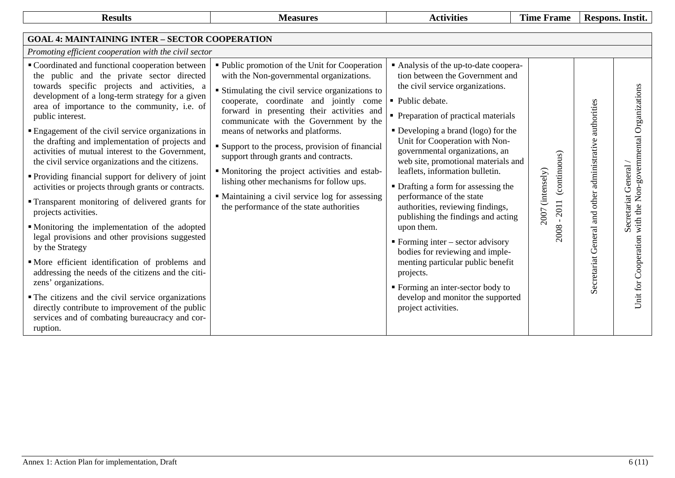| <b>Results</b>                                                                                                                                                                                                                                                                                                                                                                                                                                                                                                                                                                                                                                                                                                                                                                                                                                                                                                                                                                                                                                                | <b>Measures</b>                                                                                                                                                                                                                                                                                                                                                                                                                                                                                                                                              | <b>Activities</b>                                                                                                                                                                                                                                                                                                                                                                                                                                                                                                                                                                                                                                                                                                       | <b>Time Frame</b>                                | Respons. Instit.                                                                                                                                      |
|---------------------------------------------------------------------------------------------------------------------------------------------------------------------------------------------------------------------------------------------------------------------------------------------------------------------------------------------------------------------------------------------------------------------------------------------------------------------------------------------------------------------------------------------------------------------------------------------------------------------------------------------------------------------------------------------------------------------------------------------------------------------------------------------------------------------------------------------------------------------------------------------------------------------------------------------------------------------------------------------------------------------------------------------------------------|--------------------------------------------------------------------------------------------------------------------------------------------------------------------------------------------------------------------------------------------------------------------------------------------------------------------------------------------------------------------------------------------------------------------------------------------------------------------------------------------------------------------------------------------------------------|-------------------------------------------------------------------------------------------------------------------------------------------------------------------------------------------------------------------------------------------------------------------------------------------------------------------------------------------------------------------------------------------------------------------------------------------------------------------------------------------------------------------------------------------------------------------------------------------------------------------------------------------------------------------------------------------------------------------------|--------------------------------------------------|-------------------------------------------------------------------------------------------------------------------------------------------------------|
| <b>GOAL 4: MAINTAINING INTER - SECTOR COOPERATION</b><br>Promoting efficient cooperation with the civil sector<br>■ Coordinated and functional cooperation between                                                                                                                                                                                                                                                                                                                                                                                                                                                                                                                                                                                                                                                                                                                                                                                                                                                                                            | • Public promotion of the Unit for Cooperation                                                                                                                                                                                                                                                                                                                                                                                                                                                                                                               | • Analysis of the up-to-date coopera-                                                                                                                                                                                                                                                                                                                                                                                                                                                                                                                                                                                                                                                                                   |                                                  |                                                                                                                                                       |
| the public and the private sector directed<br>towards specific projects and activities, a<br>development of a long-term strategy for a given<br>area of importance to the community, i.e. of<br>public interest.<br>• Engagement of the civil service organizations in<br>the drafting and implementation of projects and<br>activities of mutual interest to the Government,<br>the civil service organizations and the citizens.<br>• Providing financial support for delivery of joint<br>activities or projects through grants or contracts.<br>• Transparent monitoring of delivered grants for<br>projects activities.<br>• Monitoring the implementation of the adopted<br>legal provisions and other provisions suggested<br>by the Strategy<br>• More efficient identification of problems and<br>addressing the needs of the citizens and the citi-<br>zens' organizations.<br>• The citizens and the civil service organizations<br>directly contribute to improvement of the public<br>services and of combating bureaucracy and cor-<br>ruption. | with the Non-governmental organizations.<br>• Stimulating the civil service organizations to<br>cooperate, coordinate and jointly come<br>forward in presenting their activities and<br>communicate with the Government by the<br>means of networks and platforms.<br>• Support to the process, provision of financial<br>support through grants and contracts.<br>• Monitoring the project activities and estab-<br>lishing other mechanisms for follow ups.<br>• Maintaining a civil service log for assessing<br>the performance of the state authorities | tion between the Government and<br>the civil service organizations.<br>• Public debate.<br>• Preparation of practical materials<br>• Developing a brand (logo) for the<br>Unit for Cooperation with Non-<br>governmental organizations, an<br>web site, promotional materials and<br>leaflets, information bulletin.<br>• Drafting a form for assessing the<br>performance of the state<br>authorities, reviewing findings,<br>publishing the findings and acting<br>upon them.<br>$\blacksquare$ Forming inter – sector advisory<br>bodies for reviewing and imple-<br>menting particular public benefit<br>projects.<br>• Forming an inter-sector body to<br>develop and monitor the supported<br>project activities. | (continuous)<br>2007 (intensely)<br>2011<br>2008 | Non-governmental Organizations<br>Secretariat General and other administrative authorities<br>Secretariat General<br>with the<br>Unit for Cooperation |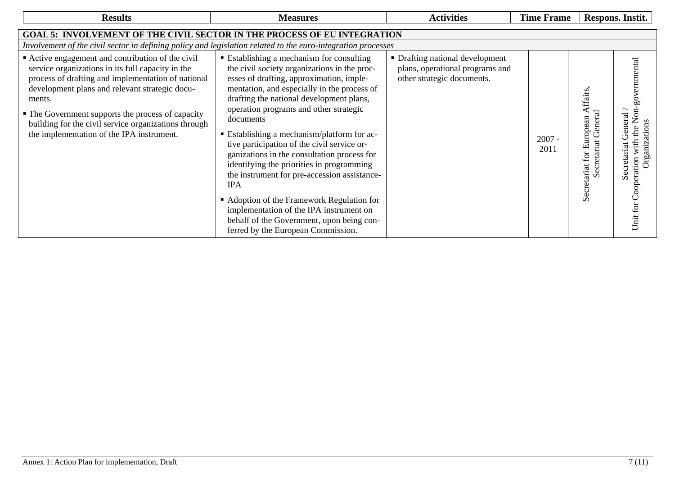| <b>Results</b>                                                                                                                                                                                                                                                                                                                                                                     | <b>Measures</b>                                                                                                                                                                                                                                                                                                                                                                                                                                                                                                                                                                                                                                                                                                             | <b>Activities</b>                                                                                | <b>Time Frame</b> |                                                                                          | Respons. Instit.                                                                            |  |  |  |  |  |
|------------------------------------------------------------------------------------------------------------------------------------------------------------------------------------------------------------------------------------------------------------------------------------------------------------------------------------------------------------------------------------|-----------------------------------------------------------------------------------------------------------------------------------------------------------------------------------------------------------------------------------------------------------------------------------------------------------------------------------------------------------------------------------------------------------------------------------------------------------------------------------------------------------------------------------------------------------------------------------------------------------------------------------------------------------------------------------------------------------------------------|--------------------------------------------------------------------------------------------------|-------------------|------------------------------------------------------------------------------------------|---------------------------------------------------------------------------------------------|--|--|--|--|--|
| <b>GOAL 5: INVOLVEMENT OF THE CIVIL SECTOR IN THE PROCESS OF EU INTEGRATION</b>                                                                                                                                                                                                                                                                                                    |                                                                                                                                                                                                                                                                                                                                                                                                                                                                                                                                                                                                                                                                                                                             |                                                                                                  |                   |                                                                                          |                                                                                             |  |  |  |  |  |
|                                                                                                                                                                                                                                                                                                                                                                                    | Involvement of the civil sector in defining policy and legislation related to the euro-integration processes                                                                                                                                                                                                                                                                                                                                                                                                                                                                                                                                                                                                                |                                                                                                  |                   |                                                                                          |                                                                                             |  |  |  |  |  |
| • Active engagement and contribution of the civil<br>service organizations in its full capacity in the<br>process of drafting and implementation of national<br>development plans and relevant strategic docu-<br>ments.<br>• The Government supports the process of capacity<br>building for the civil service organizations through<br>the implementation of the IPA instrument. | ■ Establishing a mechanism for consulting<br>the civil society organizations in the proc-<br>esses of drafting, approximation, imple-<br>mentation, and especially in the process of<br>drafting the national development plans,<br>operation programs and other strategic<br>documents<br>• Establishing a mechanism/platform for ac-<br>tive participation of the civil service or-<br>ganizations in the consultation process for<br>identifying the priorities in programming<br>the instrument for pre-accession assistance-<br><b>IPA</b><br>• Adoption of the Framework Regulation for<br>implementation of the IPA instrument on<br>behalf of the Government, upon being con-<br>ferred by the European Commission. | • Drafting national development<br>plans, operational programs and<br>other strategic documents. | $2007 -$<br>2011  | ffairs,<br>General<br>uropean<br>Secretariat<br>ロ<br>$\operatorname{for}$<br>Secretariat | governmental<br>the Non<br>eneral<br>Unit for Cooperation with<br>ਲ<br>Organiz<br>Secretari |  |  |  |  |  |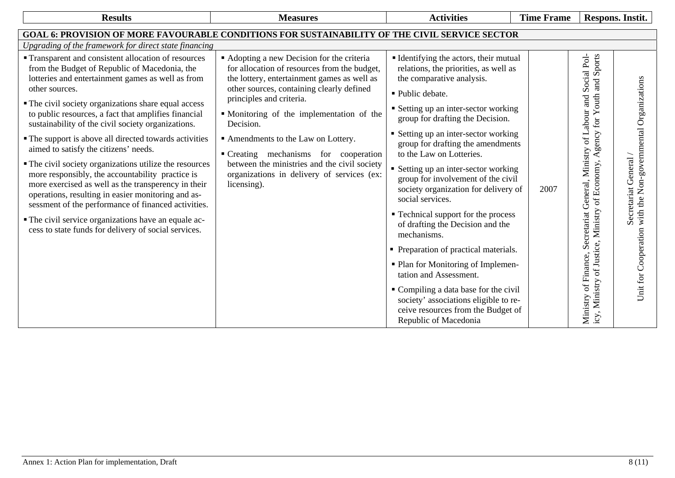| <b>Results</b>                                                                                                                                                                                                                                                                                                                                                                                                                                                                                                                                                                                                                                                                                                                                                                                                                                           | <b>Measures</b>                                                                                                                                                                                                                                                                                                                                                                                                                                                         | <b>Activities</b>                                                                                                                                                                                                                                                                                                                                                                                                                                                                                                                                                                                                                                                                                                                                                                                                | <b>Time Frame</b> |                                                                                                                                                                                                                 | Respons. Instit.                                                                      |
|----------------------------------------------------------------------------------------------------------------------------------------------------------------------------------------------------------------------------------------------------------------------------------------------------------------------------------------------------------------------------------------------------------------------------------------------------------------------------------------------------------------------------------------------------------------------------------------------------------------------------------------------------------------------------------------------------------------------------------------------------------------------------------------------------------------------------------------------------------|-------------------------------------------------------------------------------------------------------------------------------------------------------------------------------------------------------------------------------------------------------------------------------------------------------------------------------------------------------------------------------------------------------------------------------------------------------------------------|------------------------------------------------------------------------------------------------------------------------------------------------------------------------------------------------------------------------------------------------------------------------------------------------------------------------------------------------------------------------------------------------------------------------------------------------------------------------------------------------------------------------------------------------------------------------------------------------------------------------------------------------------------------------------------------------------------------------------------------------------------------------------------------------------------------|-------------------|-----------------------------------------------------------------------------------------------------------------------------------------------------------------------------------------------------------------|---------------------------------------------------------------------------------------|
| <b>GOAL 6: PROVISION OF MORE FAVOURABLE CONDITIONS FOR SUSTAINABILITY OF THE CIVIL SERVICE SECTOR</b>                                                                                                                                                                                                                                                                                                                                                                                                                                                                                                                                                                                                                                                                                                                                                    |                                                                                                                                                                                                                                                                                                                                                                                                                                                                         |                                                                                                                                                                                                                                                                                                                                                                                                                                                                                                                                                                                                                                                                                                                                                                                                                  |                   |                                                                                                                                                                                                                 |                                                                                       |
| Upgrading of the framework for direct state financing                                                                                                                                                                                                                                                                                                                                                                                                                                                                                                                                                                                                                                                                                                                                                                                                    |                                                                                                                                                                                                                                                                                                                                                                                                                                                                         |                                                                                                                                                                                                                                                                                                                                                                                                                                                                                                                                                                                                                                                                                                                                                                                                                  |                   |                                                                                                                                                                                                                 |                                                                                       |
| " Transparent and consistent allocation of resources<br>from the Budget of Republic of Macedonia, the<br>lotteries and entertainment games as well as from<br>other sources.<br>• The civil society organizations share equal access<br>to public resources, a fact that amplifies financial<br>sustainability of the civil society organizations.<br>• The support is above all directed towards activities<br>aimed to satisfy the citizens' needs.<br>• The civil society organizations utilize the resources<br>more responsibly, the accountability practice is<br>more exercised as well as the transperency in their<br>operations, resulting in easier monitoring and as-<br>sessment of the performance of financed activities.<br>• The civil service organizations have an equale ac-<br>cess to state funds for delivery of social services. | • Adopting a new Decision for the criteria<br>for allocation of resources from the budget,<br>the lottery, entertainment games as well as<br>other sources, containing clearly defined<br>principles and criteria.<br>• Monitoring of the implementation of the<br>Decision.<br>Amendments to the Law on Lottery.<br>• Creating mechanisms for cooperation<br>between the ministries and the civil society<br>organizations in delivery of services (ex:<br>licensing). | "Identifying the actors, their mutual<br>relations, the priorities, as well as<br>the comparative analysis.<br>• Public debate.<br>• Setting up an inter-sector working<br>group for drafting the Decision.<br>• Setting up an inter-sector working<br>group for drafting the amendments<br>to the Law on Lotteries.<br>• Setting up an inter-sector working<br>group for involvement of the civil<br>society organization for delivery of<br>social services.<br>• Technical support for the process<br>of drafting the Decision and the<br>mechanisms.<br>• Preparation of practical materials.<br>• Plan for Monitoring of Implemen-<br>tation and Assessment.<br>Compiling a data base for the civil<br>society' associations eligible to re-<br>ceive resources from the Budget of<br>Republic of Macedonia | 2007              | Social Pol-<br>Sports<br>gency for Youth and<br>and<br>of Labour<br>Ministry<br>$\blacktriangleleft$<br>Ministry of Economy,<br>General,<br>Secretariat<br>icy, Ministry of Justice,<br>of Finance,<br>Ministry | Unit for Cooperation with the Non-governmental Organizations<br>Secretariat General / |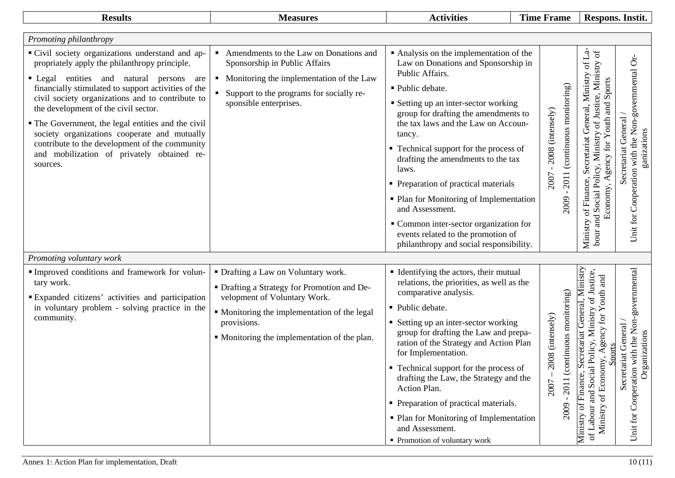| <b>Results</b>                                                                                                                                                                                                                                                                                                                                                                                                                                                                                                                                                     | <b>Measures</b>                                                                                                                                                                                                                   | <b>Activities</b>                                                                                                                                                                                                                                                                                                                                                                                                                                                                                                                                                                | <b>Time Frame</b>        |                                                                  |                                                                                                                                                                                        | Respons. Instit.                                                                         |
|--------------------------------------------------------------------------------------------------------------------------------------------------------------------------------------------------------------------------------------------------------------------------------------------------------------------------------------------------------------------------------------------------------------------------------------------------------------------------------------------------------------------------------------------------------------------|-----------------------------------------------------------------------------------------------------------------------------------------------------------------------------------------------------------------------------------|----------------------------------------------------------------------------------------------------------------------------------------------------------------------------------------------------------------------------------------------------------------------------------------------------------------------------------------------------------------------------------------------------------------------------------------------------------------------------------------------------------------------------------------------------------------------------------|--------------------------|------------------------------------------------------------------|----------------------------------------------------------------------------------------------------------------------------------------------------------------------------------------|------------------------------------------------------------------------------------------|
|                                                                                                                                                                                                                                                                                                                                                                                                                                                                                                                                                                    |                                                                                                                                                                                                                                   |                                                                                                                                                                                                                                                                                                                                                                                                                                                                                                                                                                                  |                          |                                                                  |                                                                                                                                                                                        |                                                                                          |
| Promoting philanthropy<br>• Civil society organizations understand and ap-<br>propriately apply the philanthropy principle.<br>entities and natural<br>$\blacksquare$ Legal<br>persons<br>are<br>financially stimulated to support activities of the<br>civil society organizations and to contribute to<br>the development of the civil sector.<br>• The Government, the legal entities and the civil<br>society organizations cooperate and mutually<br>contribute to the development of the community<br>and mobilization of privately obtained re-<br>sources. | Amendments to the Law on Donations and<br>$\blacksquare$<br>Sponsorship in Public Affairs<br>• Monitoring the implementation of the Law<br>Support to the programs for socially re-<br>sponsible enterprises.                     | • Analysis on the implementation of the<br>Law on Donations and Sponsorship in<br>Public Affairs.<br>· Public debate.<br>• Setting up an inter-sector working<br>group for drafting the amendments to<br>the tax laws and the Law on Accoun-<br>tancy.<br>• Technical support for the process of<br>drafting the amendments to the tax<br>laws.<br>• Preparation of practical materials<br>• Plan for Monitoring of Implementation<br>and Assessment.<br>• Common inter-sector organization for<br>events related to the promotion of<br>philanthropy and social responsibility. |                          | 2011 (continuous monitoring)<br>2008 (intensely)<br>2007<br>2009 | of La-<br>bour and Social Policy, Ministry of Justice, Ministry of<br>Secretariat General, Ministry<br>Economy, Agency for Youth and Sports<br>Ministry of Finance,                    | Unit for Cooperation with the Non-governmental Or-<br>Secretariat General<br>ganizations |
| Promoting voluntary work<br>Improved conditions and framework for volun-<br>tary work.<br><b>Expanded citizens' activities and participation</b><br>in voluntary problem - solving practice in the<br>community.                                                                                                                                                                                                                                                                                                                                                   | • Drafting a Law on Voluntary work.<br>• Drafting a Strategy for Promotion and De-<br>velopment of Voluntary Work.<br>• Monitoring the implementation of the legal<br>provisions.<br>• Monitoring the implementation of the plan. | • Identifying the actors, their mutual<br>relations, the priorities, as well as the<br>comparative analysis.<br>• Public debate.<br>• Setting up an inter-sector working<br>group for drafting the Law and prepa-<br>ration of the Strategy and Action Plan<br>for Implementation.<br>• Technical support for the process of<br>drafting the Law, the Strategy and the<br>Action Plan.<br>• Preparation of practical materials.<br>• Plan for Monitoring of Implementation<br>and Assessment.<br>• Promotion of voluntary work                                                   | 2008 (intensely)<br>2007 | ontinuous monitoring)<br>2011 (c<br>2009                         | General, Ministry<br>and Social Policy, Ministry of Justice,<br>of Economy, Agency for Youth and<br>Secretariat<br><b>Sports</b><br>Finance,<br>of Labour<br>Ministry<br>5<br>Ministry | Unit for Cooperation with the Non-governmental<br>Secretariat General<br>Organizations   |